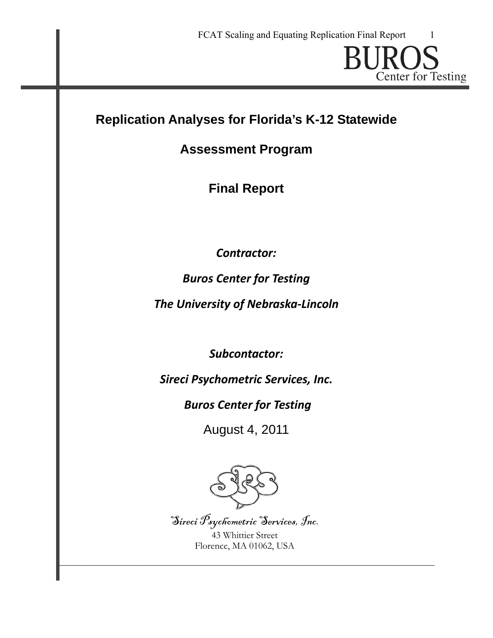**Center for Testing** 

# **Replication Analyses for Florida's K-12 Statewide**

# **Assessment Program**

**Final Report** 

*Contractor:*

*Buros Center for Testing*

*The University of Nebraska‐Lincoln*

*Subcontactor:*

*Sireci Psychometric Services, Inc.*

*Buros Center for Testing*

August 4, 2011



Sireci Psychometric Services, Inc.

43 Whittier Street Florence, MA 01062, USA

 $\mathcal{L}_\text{max} = \mathcal{L}_\text{max} = \mathcal{L}_\text{max} = \mathcal{L}_\text{max} = \mathcal{L}_\text{max} = \mathcal{L}_\text{max} = \mathcal{L}_\text{max} = \mathcal{L}_\text{max} = \mathcal{L}_\text{max} = \mathcal{L}_\text{max} = \mathcal{L}_\text{max} = \mathcal{L}_\text{max} = \mathcal{L}_\text{max} = \mathcal{L}_\text{max} = \mathcal{L}_\text{max} = \mathcal{L}_\text{max} = \mathcal{L}_\text{max} = \mathcal{L}_\text{max} = \mathcal{$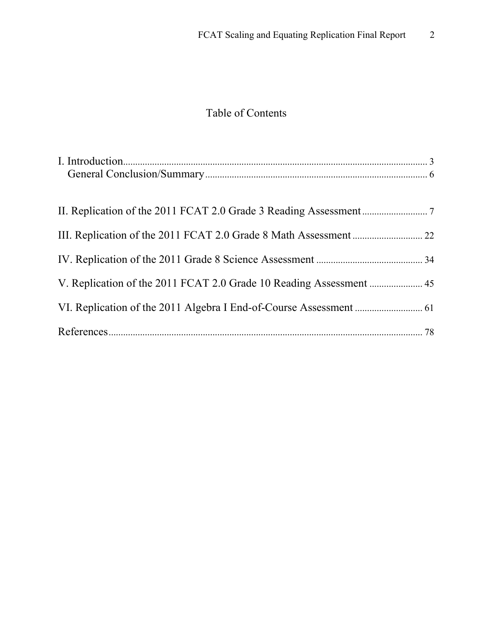# Table of Contents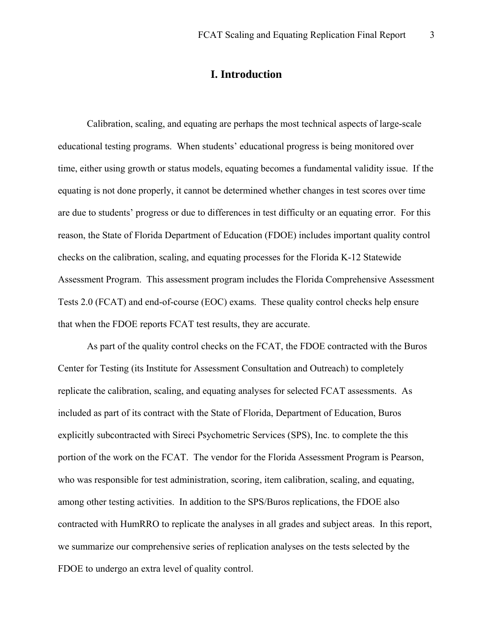# **I. Introduction**

<span id="page-2-0"></span>Calibration, scaling, and equating are perhaps the most technical aspects of large-scale educational testing programs. When students' educational progress is being monitored over time, either using growth or status models, equating becomes a fundamental validity issue. If the equating is not done properly, it cannot be determined whether changes in test scores over time are due to students' progress or due to differences in test difficulty or an equating error. For this reason, the State of Florida Department of Education (FDOE) includes important quality control checks on the calibration, scaling, and equating processes for the Florida K-12 Statewide Assessment Program. This assessment program includes the Florida Comprehensive Assessment Tests 2.0 (FCAT) and end-of-course (EOC) exams. These quality control checks help ensure that when the FDOE reports FCAT test results, they are accurate.

As part of the quality control checks on the FCAT, the FDOE contracted with the Buros Center for Testing (its Institute for Assessment Consultation and Outreach) to completely replicate the calibration, scaling, and equating analyses for selected FCAT assessments. As included as part of its contract with the State of Florida, Department of Education, Buros explicitly subcontracted with Sireci Psychometric Services (SPS), Inc. to complete the this portion of the work on the FCAT. The vendor for the Florida Assessment Program is Pearson, who was responsible for test administration, scoring, item calibration, scaling, and equating, among other testing activities. In addition to the SPS/Buros replications, the FDOE also contracted with HumRRO to replicate the analyses in all grades and subject areas. In this report, we summarize our comprehensive series of replication analyses on the tests selected by the FDOE to undergo an extra level of quality control.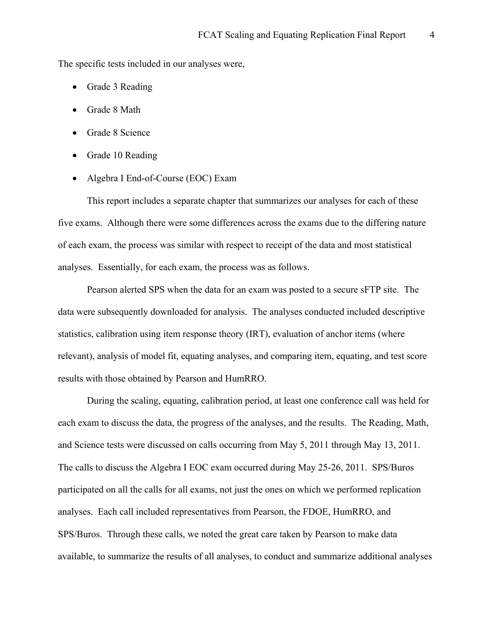The specific tests included in our analyses were,

- Grade 3 Reading
- Grade 8 Math
- Grade 8 Science
- Grade 10 Reading
- Algebra I End-of-Course (EOC) Exam

This report includes a separate chapter that summarizes our analyses for each of these five exams. Although there were some differences across the exams due to the differing nature of each exam, the process was similar with respect to receipt of the data and most statistical analyses. Essentially, for each exam, the process was as follows.

Pearson alerted SPS when the data for an exam was posted to a secure sFTP site. The data were subsequently downloaded for analysis. The analyses conducted included descriptive statistics, calibration using item response theory (IRT), evaluation of anchor items (where relevant), analysis of model fit, equating analyses, and comparing item, equating, and test score results with those obtained by Pearson and HumRRO.

During the scaling, equating, calibration period, at least one conference call was held for each exam to discuss the data, the progress of the analyses, and the results. The Reading, Math, and Science tests were discussed on calls occurring from May 5, 2011 through May 13, 2011. The calls to discuss the Algebra I EOC exam occurred during May 25-26, 2011. SPS/Buros participated on all the calls for all exams, not just the ones on which we performed replication analyses. Each call included representatives from Pearson, the FDOE, HumRRO, and SPS/Buros. Through these calls, we noted the great care taken by Pearson to make data available, to summarize the results of all analyses, to conduct and summarize additional analyses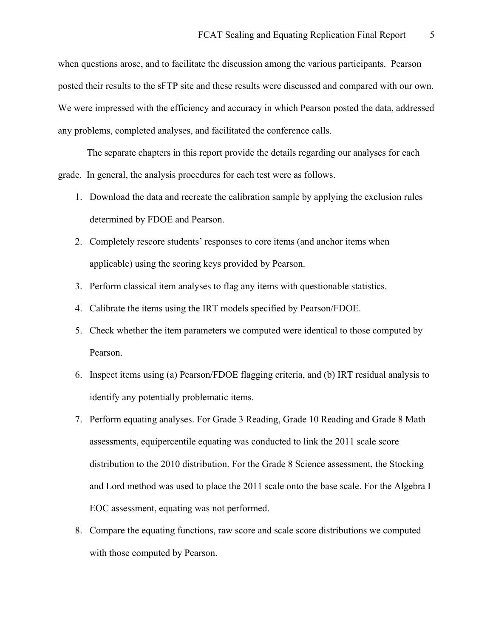when questions arose, and to facilitate the discussion among the various participants. Pearson posted their results to the sFTP site and these results were discussed and compared with our own. We were impressed with the efficiency and accuracy in which Pearson posted the data, addressed any problems, completed analyses, and facilitated the conference calls.

The separate chapters in this report provide the details regarding our analyses for each grade. In general, the analysis procedures for each test were as follows.

- 1. Download the data and recreate the calibration sample by applying the exclusion rules determined by FDOE and Pearson.
- 2. Completely rescore students' responses to core items (and anchor items when applicable) using the scoring keys provided by Pearson.
- 3. Perform classical item analyses to flag any items with questionable statistics.
- 4. Calibrate the items using the IRT models specified by Pearson/FDOE.
- 5. Check whether the item parameters we computed were identical to those computed by Pearson.
- 6. Inspect items using (a) Pearson/FDOE flagging criteria, and (b) IRT residual analysis to identify any potentially problematic items.
- 7. Perform equating analyses. For Grade 3 Reading, Grade 10 Reading and Grade 8 Math assessments, equipercentile equating was conducted to link the 2011 scale score distribution to the 2010 distribution. For the Grade 8 Science assessment, the Stocking and Lord method was used to place the 2011 scale onto the base scale. For the Algebra I EOC assessment, equating was not performed.
- 8. Compare the equating functions, raw score and scale score distributions we computed with those computed by Pearson.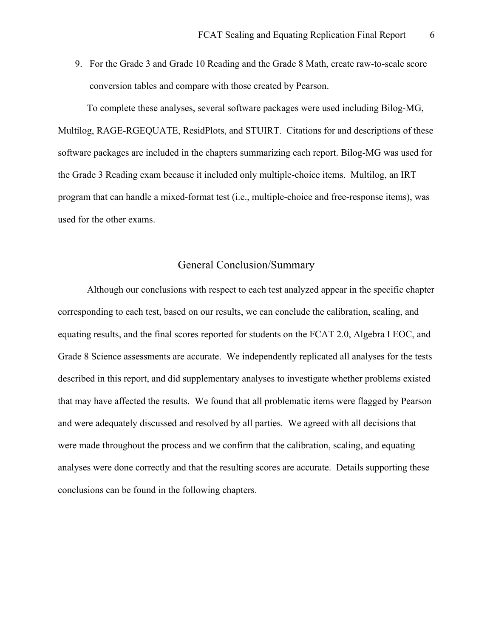<span id="page-5-0"></span>9. For the Grade 3 and Grade 10 Reading and the Grade 8 Math, create raw-to-scale score conversion tables and compare with those created by Pearson.

To complete these analyses, several software packages were used including Bilog-MG, Multilog, RAGE-RGEQUATE, ResidPlots, and STUIRT. Citations for and descriptions of these software packages are included in the chapters summarizing each report. Bilog-MG was used for the Grade 3 Reading exam because it included only multiple-choice items. Multilog, an IRT program that can handle a mixed-format test (i.e., multiple-choice and free-response items), was used for the other exams.

# General Conclusion/Summary

 Although our conclusions with respect to each test analyzed appear in the specific chapter corresponding to each test, based on our results, we can conclude the calibration, scaling, and equating results, and the final scores reported for students on the FCAT 2.0, Algebra I EOC, and Grade 8 Science assessments are accurate. We independently replicated all analyses for the tests described in this report, and did supplementary analyses to investigate whether problems existed that may have affected the results. We found that all problematic items were flagged by Pearson and were adequately discussed and resolved by all parties. We agreed with all decisions that were made throughout the process and we confirm that the calibration, scaling, and equating analyses were done correctly and that the resulting scores are accurate. Details supporting these conclusions can be found in the following chapters.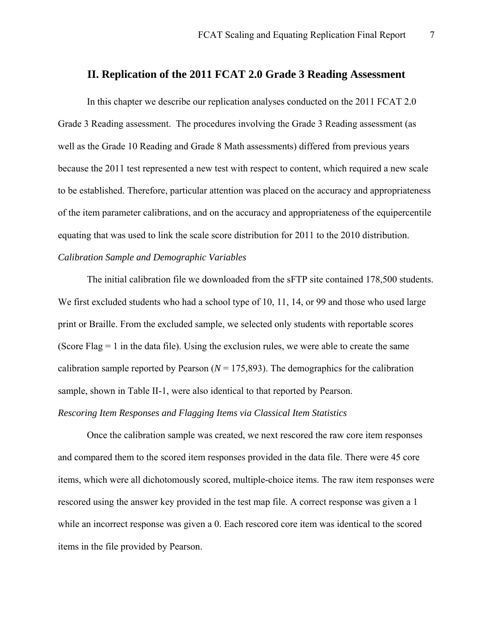## <span id="page-6-0"></span>**II. Replication of the 2011 FCAT 2.0 Grade 3 Reading Assessment**

 In this chapter we describe our replication analyses conducted on the 2011 FCAT 2.0 Grade 3 Reading assessment. The procedures involving the Grade 3 Reading assessment (as well as the Grade 10 Reading and Grade 8 Math assessments) differed from previous years because the 2011 test represented a new test with respect to content, which required a new scale to be established. Therefore, particular attention was placed on the accuracy and appropriateness of the item parameter calibrations, and on the accuracy and appropriateness of the equipercentile equating that was used to link the scale score distribution for 2011 to the 2010 distribution. *Calibration Sample and Demographic Variables* 

 The initial calibration file we downloaded from the sFTP site contained 178,500 students. We first excluded students who had a school type of 10, 11, 14, or 99 and those who used large print or Braille. From the excluded sample, we selected only students with reportable scores (Score Flag  $= 1$  in the data file). Using the exclusion rules, we were able to create the same calibration sample reported by Pearson  $(N = 175,893)$ . The demographics for the calibration sample, shown in Table II-1, were also identical to that reported by Pearson.

## *Rescoring Item Responses and Flagging Items via Classical Item Statistics*

 Once the calibration sample was created, we next rescored the raw core item responses and compared them to the scored item responses provided in the data file. There were 45 core items, which were all dichotomously scored, multiple-choice items. The raw item responses were rescored using the answer key provided in the test map file. A correct response was given a 1 while an incorrect response was given a 0. Each rescored core item was identical to the scored items in the file provided by Pearson.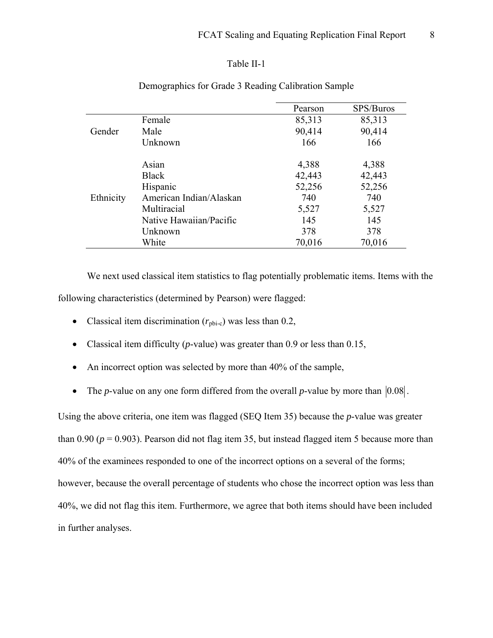## Table II-1

|           |                         | Pearson | SPS/Buros |
|-----------|-------------------------|---------|-----------|
|           | Female                  | 85,313  | 85,313    |
| Gender    | Male                    | 90,414  | 90,414    |
|           | Unknown                 | 166     | 166       |
|           | Asian                   | 4,388   | 4,388     |
|           | <b>Black</b>            | 42,443  | 42,443    |
|           | Hispanic                | 52,256  | 52,256    |
| Ethnicity | American Indian/Alaskan | 740     | 740       |
|           | Multiracial             | 5,527   | 5,527     |
|           | Native Hawaiian/Pacific | 145     | 145       |
|           | Unknown                 | 378     | 378       |
|           | White                   | 70,016  | 70,016    |

## Demographics for Grade 3 Reading Calibration Sample

 We next used classical item statistics to flag potentially problematic items. Items with the following characteristics (determined by Pearson) were flagged:

- Classical item discrimination  $(r_{\text{ph-c}})$  was less than 0.2,
- Classical item difficulty (*p*-value) was greater than 0.9 or less than 0.15,
- An incorrect option was selected by more than 40% of the sample,
- The *p*-value on any one form differed from the overall *p*-value by more than  $|0.08|$ .

Using the above criteria, one item was flagged (SEQ Item 35) because the *p*-value was greater than 0.90 ( $p = 0.903$ ). Pearson did not flag item 35, but instead flagged item 5 because more than 40% of the examinees responded to one of the incorrect options on a several of the forms; however, because the overall percentage of students who chose the incorrect option was less than 40%, we did not flag this item. Furthermore, we agree that both items should have been included in further analyses.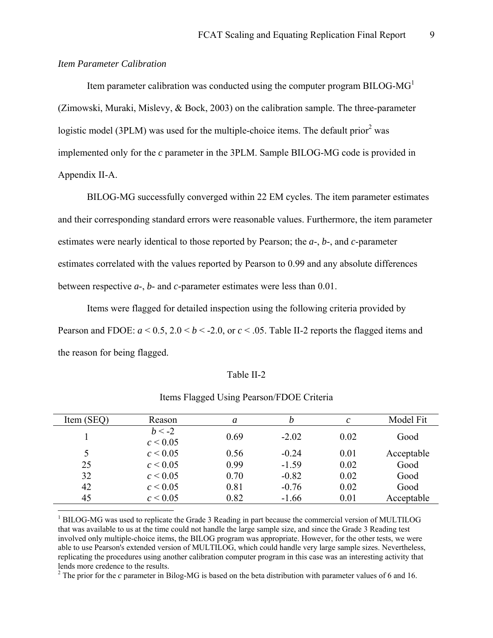#### *Item Parameter Calibration*

 $\overline{a}$ 

Item parameter calibration was conducted using the computer program BILOG-MG<sup>[1](#page-8-0)</sup> (Zimowski, Muraki, Mislevy, & Bock, 2003) on the calibration sample. The three-parameter logistic model (3PLM) was used for the multiple-choice items. The default prior<sup>[2](#page-8-1)</sup> was implemented only for the *c* parameter in the 3PLM. Sample BILOG-MG code is provided in Appendix II-A.

 BILOG-MG successfully converged within 22 EM cycles. The item parameter estimates and their corresponding standard errors were reasonable values. Furthermore, the item parameter estimates were nearly identical to those reported by Pearson; the *a*-, *b*-, and *c*-parameter estimates correlated with the values reported by Pearson to 0.99 and any absolute differences between respective *a*-, *b*- and *c*-parameter estimates were less than 0.01.

 Items were flagged for detailed inspection using the following criteria provided by Pearson and FDOE:  $a < 0.5$ ,  $2.0 < b < -2.0$ , or  $c < .05$ . Table II-2 reports the flagged items and the reason for being flagged.

#### Table II-2

| Item (SEQ) | Reason                   | a    | b       | C    | Model Fit  |
|------------|--------------------------|------|---------|------|------------|
|            | $b < -2$<br>$c \le 0.05$ | 0.69 | $-2.02$ | 0.02 | Good       |
| 5          | $c \le 0.05$             | 0.56 | $-0.24$ | 0.01 | Acceptable |
| 25         | $c \le 0.05$             | 0.99 | $-1.59$ | 0.02 | Good       |
| 32         | $c \le 0.05$             | 0.70 | $-0.82$ | 0.02 | Good       |
| 42         | $c \le 0.05$             | 0.81 | $-0.76$ | 0.02 | Good       |
| 45         | $c \le 0.05$             | 0.82 | $-1.66$ | 0.01 | Acceptable |

## Items Flagged Using Pearson/FDOE Criteria

<span id="page-8-0"></span><sup>1</sup> BILOG-MG was used to replicate the Grade 3 Reading in part because the commercial version of MULTILOG that was available to us at the time could not handle the large sample size, and since the Grade 3 Reading test involved only multiple-choice items, the BILOG program was appropriate. However, for the other tests, we were able to use Pearson's extended version of MULTILOG, which could handle very large sample sizes. Nevertheless, replicating the procedures using another calibration computer program in this case was an interesting activity that lends more credence to the results.

<span id="page-8-1"></span><sup>2</sup> The prior for the *c* parameter in Bilog-MG is based on the beta distribution with parameter values of 6 and 16.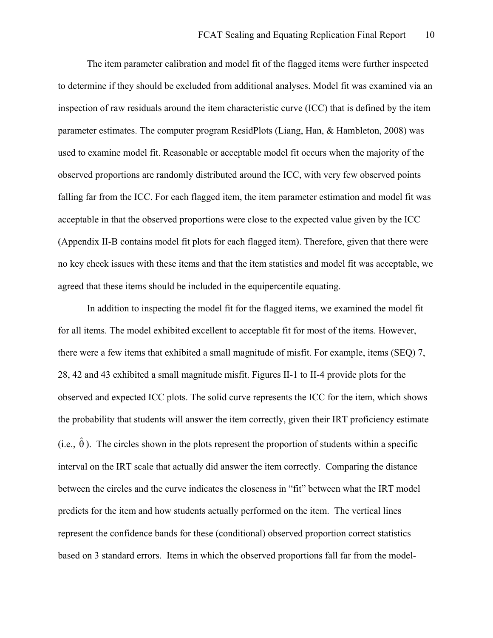The item parameter calibration and model fit of the flagged items were further inspected to determine if they should be excluded from additional analyses. Model fit was examined via an inspection of raw residuals around the item characteristic curve (ICC) that is defined by the item parameter estimates. The computer program ResidPlots (Liang, Han, & Hambleton, 2008) was used to examine model fit. Reasonable or acceptable model fit occurs when the majority of the observed proportions are randomly distributed around the ICC, with very few observed points falling far from the ICC. For each flagged item, the item parameter estimation and model fit was acceptable in that the observed proportions were close to the expected value given by the ICC (Appendix II-B contains model fit plots for each flagged item). Therefore, given that there were no key check issues with these items and that the item statistics and model fit was acceptable, we agreed that these items should be included in the equipercentile equating.

 In addition to inspecting the model fit for the flagged items, we examined the model fit for all items. The model exhibited excellent to acceptable fit for most of the items. However, there were a few items that exhibited a small magnitude of misfit. For example, items (SEQ) 7, 28, 42 and 43 exhibited a small magnitude misfit. Figures II-1 to II-4 provide plots for the observed and expected ICC plots. The solid curve represents the ICC for the item, which shows the probability that students will answer the item correctly, given their IRT proficiency estimate (i.e.,  $\hat{\theta}$ ). The circles shown in the plots represent the proportion of students within a specific interval on the IRT scale that actually did answer the item correctly. Comparing the distance between the circles and the curve indicates the closeness in "fit" between what the IRT model predicts for the item and how students actually performed on the item. The vertical lines represent the confidence bands for these (conditional) observed proportion correct statistics based on 3 standard errors. Items in which the observed proportions fall far from the model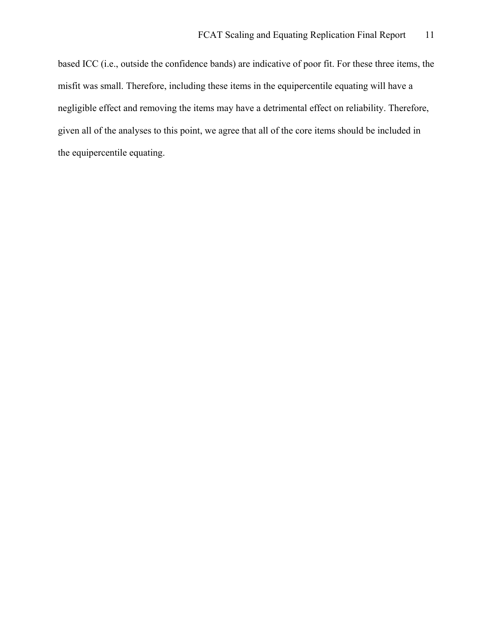based ICC (i.e., outside the confidence bands) are indicative of poor fit. For these three items, the misfit was small. Therefore, including these items in the equipercentile equating will have a negligible effect and removing the items may have a detrimental effect on reliability. Therefore, given all of the analyses to this point, we agree that all of the core items should be included in the equipercentile equating.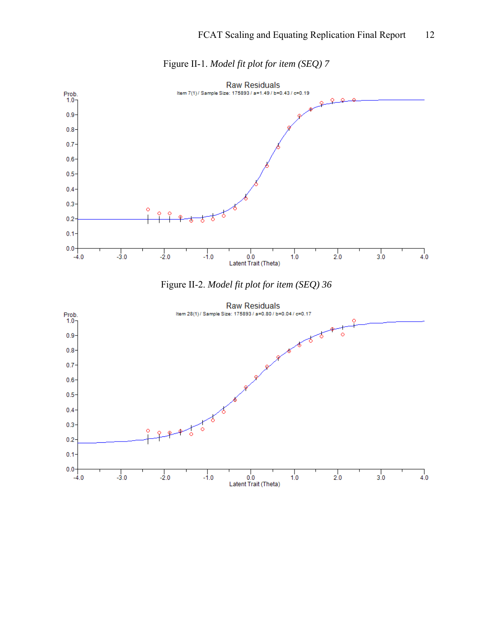

Figure II-1. *Model fit plot for item (SEQ) 7*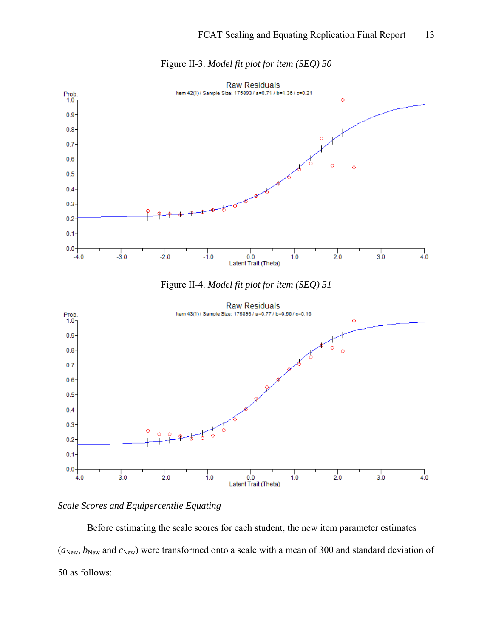

Figure II-3. *Model fit plot for item (SEQ) 50* 

## *Scale Scores and Equipercentile Equating*

Before estimating the scale scores for each student, the new item parameter estimates  $(a_{New}, b_{New}$  and  $c_{New}$ ) were transformed onto a scale with a mean of 300 and standard deviation of 50 as follows: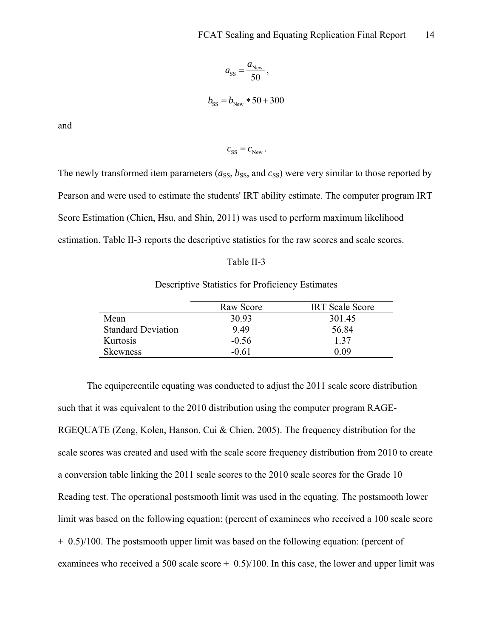$$
a_{\rm SS} = \frac{a_{\rm New}}{50},
$$
  

$$
b_{\rm SS} = b_{\rm New} * 50 + 300
$$

and

$$
c_{\rm SS} = c_{\rm New} \, .
$$

The newly transformed item parameters  $(a_{SS}, b_{SS},$  and  $c_{SS})$  were very similar to those reported by Pearson and were used to estimate the students' IRT ability estimate. The computer program IRT Score Estimation (Chien, Hsu, and Shin, 2011) was used to perform maximum likelihood estimation. Table II-3 reports the descriptive statistics for the raw scores and scale scores.

#### Table II-3

## Descriptive Statistics for Proficiency Estimates

|                           | Raw Score | <b>IRT</b> Scale Score |
|---------------------------|-----------|------------------------|
| Mean                      | 30.93     | 301.45                 |
| <b>Standard Deviation</b> | 9.49      | 56.84                  |
| Kurtosis                  | $-0.56$   | 137                    |
| Skewness                  | -0.61     | O O9                   |

 The equipercentile equating was conducted to adjust the 2011 scale score distribution such that it was equivalent to the 2010 distribution using the computer program RAGE-RGEQUATE (Zeng, Kolen, Hanson, Cui & Chien, 2005). The frequency distribution for the scale scores was created and used with the scale score frequency distribution from 2010 to create a conversion table linking the 2011 scale scores to the 2010 scale scores for the Grade 10 Reading test. The operational postsmooth limit was used in the equating. The postsmooth lower limit was based on the following equation: (percent of examinees who received a 100 scale score + 0.5)/100. The postsmooth upper limit was based on the following equation: (percent of examinees who received a 500 scale score  $+$  0.5)/100. In this case, the lower and upper limit was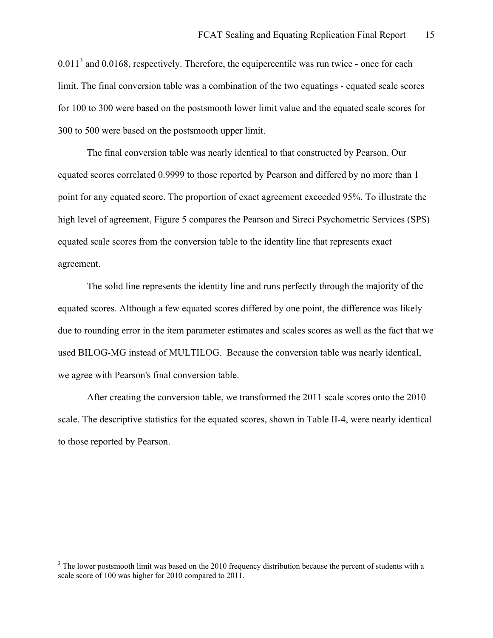$0.011<sup>3</sup>$  and  $0.0168$ , respectively. Therefore, the equipercentile was run twice - once for each limit. The final conversion table was a combination of the two equatings - equated scale scores for 100 to 300 were based on the postsmooth lower limit value and the equated scale scores for 300 to 500 were based on the postsmooth upper limit.

 The final conversion table was nearly identical to that constructed by Pearson. Our equated scores correlated 0.9999 to those reported by Pearson and differed by no more than 1 point for any equated score. The proportion of exact agreement exceeded 95%. To illustrate the high level of agreement, Figure 5 compares the Pearson and Sireci Psychometric Services (SPS) equated scale scores from the conversion table to the identity line that represents exact agreement.

The solid line represents the identity line and runs perfectly through the majority of the equated scores. Although a few equated scores differed by one point, the difference was likely due to rounding error in the item parameter estimates and scales scores as well as the fact that we used BILOG-MG instead of MULTILOG. Because the conversion table was nearly identical, we agree with Pearson's final conversion table.

 After creating the conversion table, we transformed the 2011 scale scores onto the 2010 scale. The descriptive statistics for the equated scores, shown in Table II-4, were nearly identical to those reported by Pearson.

 $\overline{a}$ 

<span id="page-14-0"></span> $3$  The lower postsmooth limit was based on the 2010 frequency distribution because the percent of students with a scale score of 100 was higher for 2010 compared to 2011.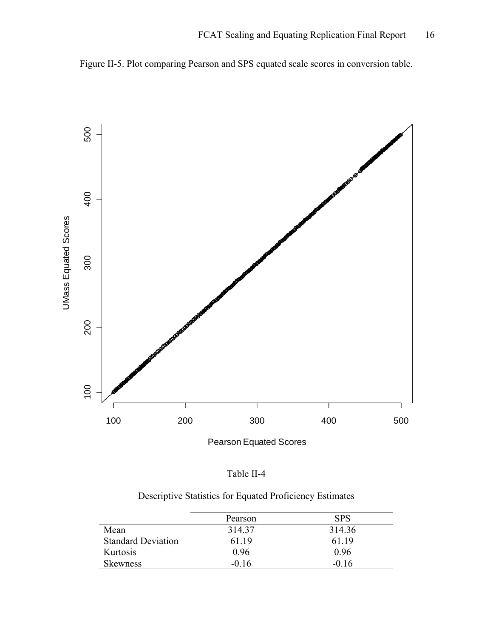Figure II-5. Plot comparing Pearson and SPS equated scale scores in conversion table.



Pearson Equated Scores

| Table II- |  |
|-----------|--|
|           |  |

|  | Descriptive Statistics for Equated Proficiency Estimates |  |
|--|----------------------------------------------------------|--|
|  |                                                          |  |

|                           | Pearson | <b>SPS</b> |
|---------------------------|---------|------------|
| Mean                      | 314.37  | 314.36     |
| <b>Standard Deviation</b> | 61 19   | 61 19      |
| Kurtosis                  | 0.96    | 0.96       |
| <b>Skewness</b>           | $-0.16$ | $-0.16$    |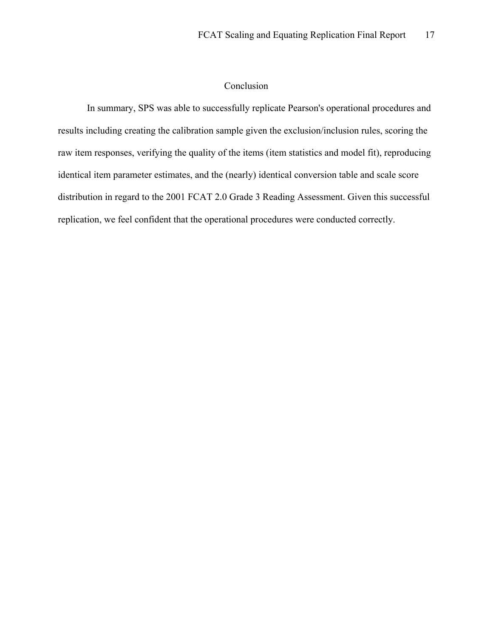## Conclusion

 In summary, SPS was able to successfully replicate Pearson's operational procedures and results including creating the calibration sample given the exclusion/inclusion rules, scoring the raw item responses, verifying the quality of the items (item statistics and model fit), reproducing identical item parameter estimates, and the (nearly) identical conversion table and scale score distribution in regard to the 2001 FCAT 2.0 Grade 3 Reading Assessment. Given this successful replication, we feel confident that the operational procedures were conducted correctly.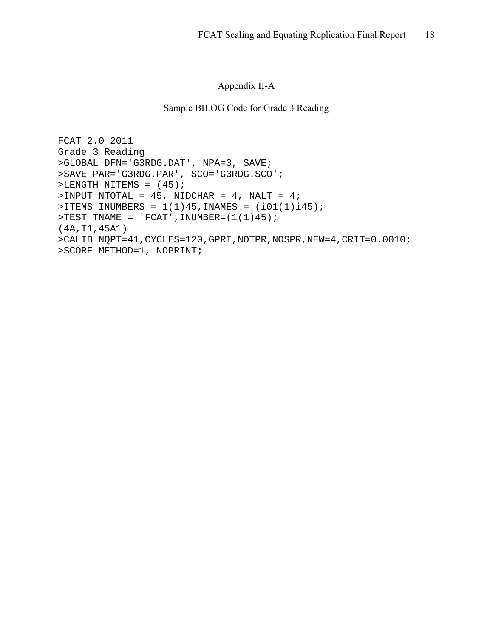## Appendix II-A

## Sample BILOG Code for Grade 3 Reading

```
FCAT 2.0 2011 
Grade 3 Reading 
>GLOBAL DFN='G3RDG.DAT', NPA=3, SAVE; 
>SAVE PAR='G3RDG.PAR', SCO='G3RDG.SCO'; 
>LENGTH NITEMS = (45);
>INPUT NTOTAL = 45, NIDCHAR = 4, NALT = 4; 
> ITEMS INUMBERS = 1(1)45, INAMES = (i01(1)i45);
>TEST TNAME = 'FCAT', INUMBER=(1(1)45);
(4A,T1,45A1) 
>CALIB NQPT=41,CYCLES=120,GPRI,NOTPR,NOSPR,NEW=4,CRIT=0.0010; 
>SCORE METHOD=1, NOPRINT;
```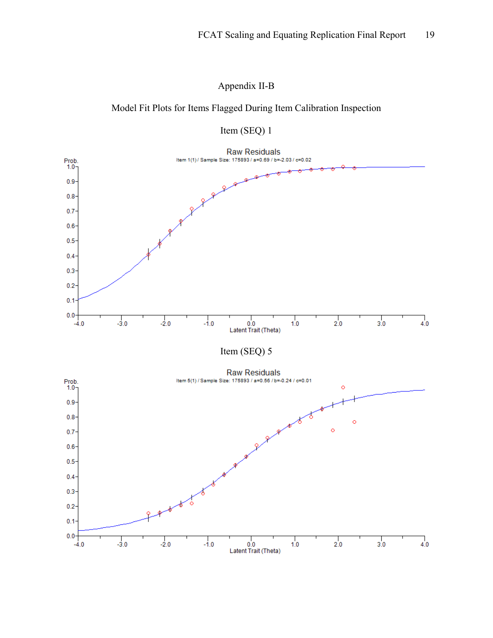# Appendix II-B

# Model Fit Plots for Items Flagged During Item Calibration Inspection



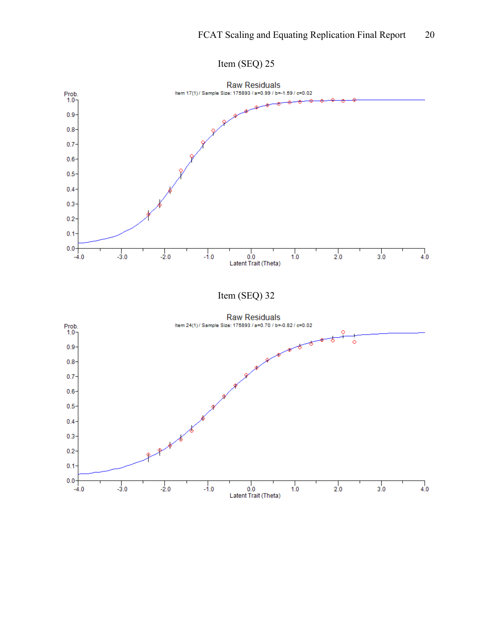

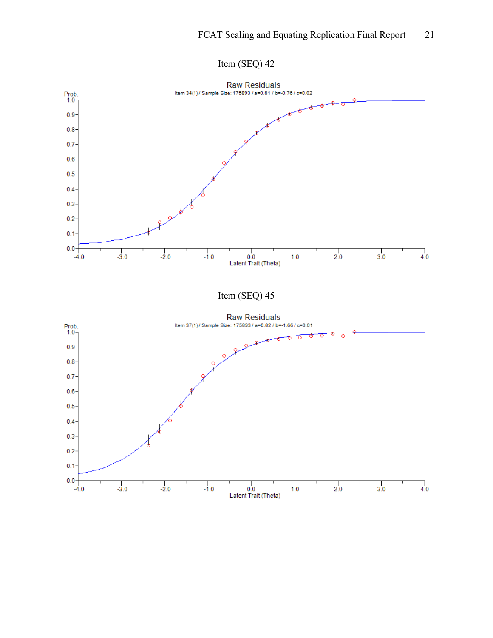

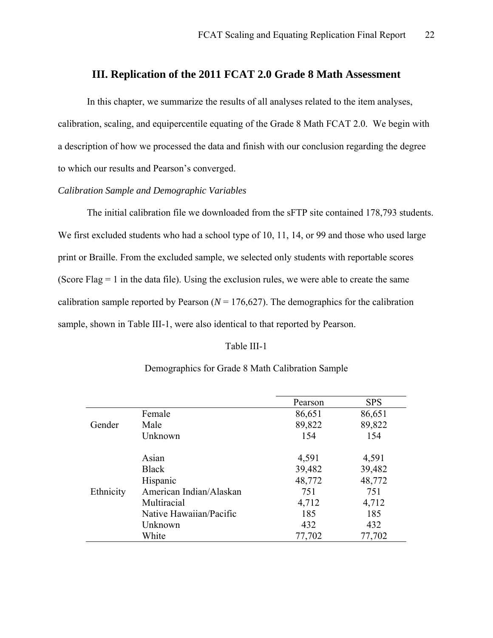# **III. Replication of the 2011 FCAT 2.0 Grade 8 Math Assessment**

<span id="page-21-0"></span>In this chapter, we summarize the results of all analyses related to the item analyses, calibration, scaling, and equipercentile equating of the Grade 8 Math FCAT 2.0. We begin with a description of how we processed the data and finish with our conclusion regarding the degree to which our results and Pearson's converged.

## *Calibration Sample and Demographic Variables*

 The initial calibration file we downloaded from the sFTP site contained 178,793 students. We first excluded students who had a school type of 10, 11, 14, or 99 and those who used large print or Braille. From the excluded sample, we selected only students with reportable scores (Score Flag  $= 1$  in the data file). Using the exclusion rules, we were able to create the same calibration sample reported by Pearson  $(N = 176,627)$ . The demographics for the calibration sample, shown in Table III-1, were also identical to that reported by Pearson.

#### Table III-1

|           |                         | Pearson | <b>SPS</b> |
|-----------|-------------------------|---------|------------|
|           | Female                  | 86,651  | 86,651     |
| Gender    | Male                    | 89,822  | 89,822     |
|           | Unknown                 | 154     | 154        |
|           | Asian                   | 4,591   | 4,591      |
|           | <b>Black</b>            | 39,482  | 39,482     |
|           | Hispanic                | 48,772  | 48,772     |
| Ethnicity | American Indian/Alaskan | 751     | 751        |
|           | Multiracial             | 4,712   | 4,712      |
|           | Native Hawaiian/Pacific | 185     | 185        |
|           | Unknown                 | 432     | 432        |
|           | White                   | 77,702  | 77,702     |

## Demographics for Grade 8 Math Calibration Sample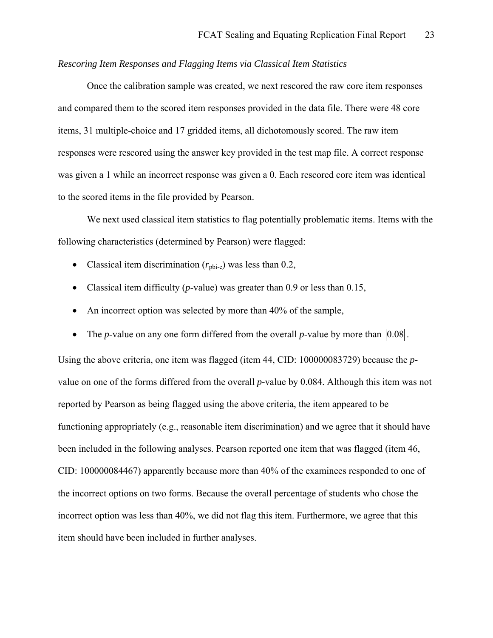## *Rescoring Item Responses and Flagging Items via Classical Item Statistics*

 Once the calibration sample was created, we next rescored the raw core item responses and compared them to the scored item responses provided in the data file. There were 48 core items, 31 multiple-choice and 17 gridded items, all dichotomously scored. The raw item responses were rescored using the answer key provided in the test map file. A correct response was given a 1 while an incorrect response was given a 0. Each rescored core item was identical to the scored items in the file provided by Pearson.

 We next used classical item statistics to flag potentially problematic items. Items with the following characteristics (determined by Pearson) were flagged:

- Classical item discrimination  $(r_{\text{ph-c}})$  was less than 0.2,
- Classical item difficulty (*p*-value) was greater than 0.9 or less than 0.15,
- An incorrect option was selected by more than 40% of the sample,
- The *p*-value on any one form differed from the overall *p*-value by more than  $|0.08|$ .

Using the above criteria, one item was flagged (item 44, CID: 100000083729) because the *p*value on one of the forms differed from the overall *p*-value by 0.084. Although this item was not reported by Pearson as being flagged using the above criteria, the item appeared to be functioning appropriately (e.g., reasonable item discrimination) and we agree that it should have been included in the following analyses. Pearson reported one item that was flagged (item 46, CID: 100000084467) apparently because more than 40% of the examinees responded to one of the incorrect options on two forms. Because the overall percentage of students who chose the incorrect option was less than 40%, we did not flag this item. Furthermore, we agree that this item should have been included in further analyses.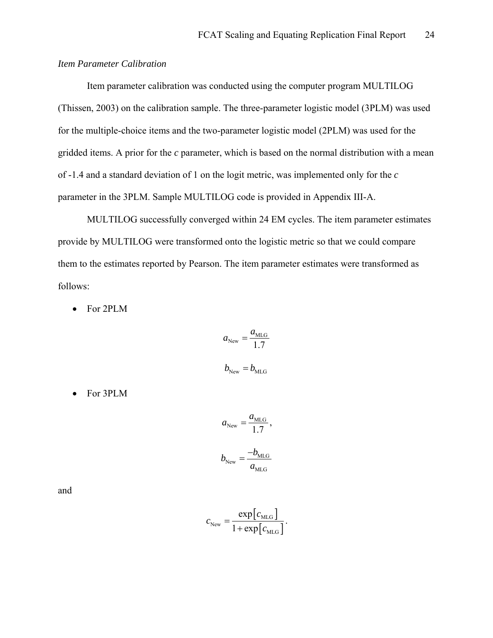## *Item Parameter Calibration*

 Item parameter calibration was conducted using the computer program MULTILOG (Thissen, 2003) on the calibration sample. The three-parameter logistic model (3PLM) was used for the multiple-choice items and the two-parameter logistic model (2PLM) was used for the gridded items. A prior for the *c* parameter, which is based on the normal distribution with a mean of -1.4 and a standard deviation of 1 on the logit metric, was implemented only for the *c* parameter in the 3PLM. Sample MULTILOG code is provided in Appendix III-A.

 MULTILOG successfully converged within 24 EM cycles. The item parameter estimates provide by MULTILOG were transformed onto the logistic metric so that we could compare them to the estimates reported by Pearson. The item parameter estimates were transformed as follows:

• For 2PLM

$$
a_{\text{New}} = \frac{a_{\text{MLG}}}{1.7}
$$

$$
b_{\text{New}} = b_{\text{MLG}}
$$

• For 3PLM

$$
a_{\text{New}} = \frac{a_{\text{MLG}}}{1.7},
$$
  

$$
b_{\text{New}} = \frac{-b_{\text{MLG}}}{a_{\text{MLG}}}
$$

and

$$
c_{\text{New}} = \frac{\exp[c_{\text{MLG}}]}{1 + \exp[c_{\text{MLG}}]}.
$$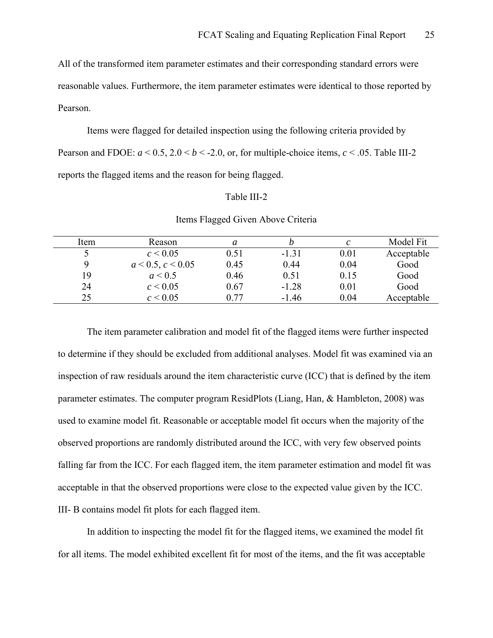All of the transformed item parameter estimates and their corresponding standard errors were reasonable values. Furthermore, the item parameter estimates were identical to those reported by Pearson.

 Items were flagged for detailed inspection using the following criteria provided by Pearson and FDOE:  $a < 0.5$ ,  $2.0 < b < -2.0$ , or, for multiple-choice items,  $c < .05$ . Table III-2 reports the flagged items and the reason for being flagged.

#### Table III-2

| Item | Reason            | a    |         | C    | Model Fit  |
|------|-------------------|------|---------|------|------------|
|      | $c \le 0.05$      | 0.51 | $-1.31$ | 0.01 | Acceptable |
| q    | a < 0.5, c < 0.05 | 0.45 | 0.44    | 0.04 | Good       |
| 19   | a < 0.5           | 0.46 | 0.51    | 0.15 | Good       |
| 24   | $c \le 0.05$      | 0.67 | $-1.28$ | 0.01 | Good       |
| 25   | $c \le 0.05$      | በ 77 | $-1.46$ | 0.04 | Acceptable |

#### Items Flagged Given Above Criteria

The item parameter calibration and model fit of the flagged items were further inspected to determine if they should be excluded from additional analyses. Model fit was examined via an inspection of raw residuals around the item characteristic curve (ICC) that is defined by the item parameter estimates. The computer program ResidPlots (Liang, Han, & Hambleton, 2008) was used to examine model fit. Reasonable or acceptable model fit occurs when the majority of the observed proportions are randomly distributed around the ICC, with very few observed points falling far from the ICC. For each flagged item, the item parameter estimation and model fit was acceptable in that the observed proportions were close to the expected value given by the ICC. III- B contains model fit plots for each flagged item.

 In addition to inspecting the model fit for the flagged items, we examined the model fit for all items. The model exhibited excellent fit for most of the items, and the fit was acceptable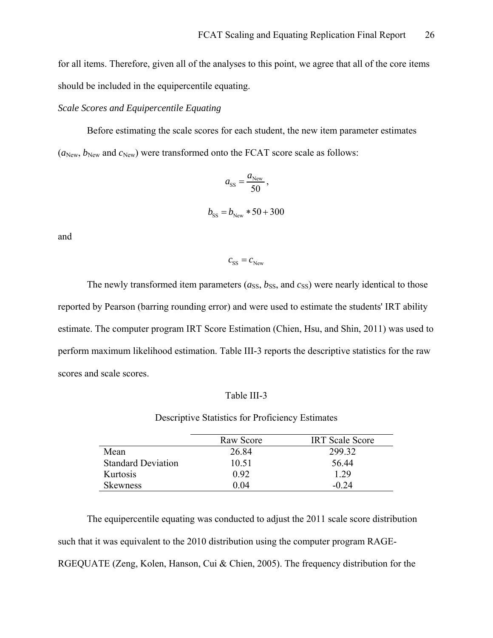for all items. Therefore, given all of the analyses to this point, we agree that all of the core items should be included in the equipercentile equating.

#### *Scale Scores and Equipercentile Equating*

 Before estimating the scale scores for each student, the new item parameter estimates  $(a_{New}, b_{New}$  and  $c_{New}$ ) were transformed onto the FCAT score scale as follows:

$$
a_{\rm SS} = \frac{a_{\rm New}}{50},
$$
  

$$
b_{\rm SS} = b_{\rm New} * 50 + 300
$$

and

 $c_{ss} = c_{New}$ 

The newly transformed item parameters  $(a_{SS}, b_{SS},$  and  $c_{SS})$  were nearly identical to those reported by Pearson (barring rounding error) and were used to estimate the students' IRT ability estimate. The computer program IRT Score Estimation (Chien, Hsu, and Shin, 2011) was used to perform maximum likelihood estimation. Table III-3 reports the descriptive statistics for the raw scores and scale scores.

#### Table III-3

Descriptive Statistics for Proficiency Estimates

|                           | Raw Score | <b>IRT</b> Scale Score |
|---------------------------|-----------|------------------------|
| Mean                      | 26.84     | 299 32                 |
| <b>Standard Deviation</b> | 10.51     | 56.44                  |
| Kurtosis                  | 0.92      | 1.29                   |
| Skewness                  | 0 O4      | $-0.24$                |

 The equipercentile equating was conducted to adjust the 2011 scale score distribution such that it was equivalent to the 2010 distribution using the computer program RAGE-RGEQUATE (Zeng, Kolen, Hanson, Cui & Chien, 2005). The frequency distribution for the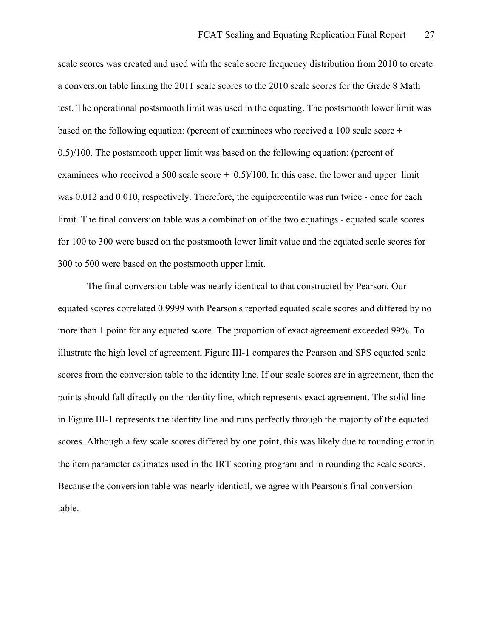scale scores was created and used with the scale score frequency distribution from 2010 to create a conversion table linking the 2011 scale scores to the 2010 scale scores for the Grade 8 Math test. The operational postsmooth limit was used in the equating. The postsmooth lower limit was based on the following equation: (percent of examinees who received a 100 scale score + 0.5)/100. The postsmooth upper limit was based on the following equation: (percent of examinees who received a 500 scale score  $+$  0.5)/100. In this case, the lower and upper limit was 0.012 and 0.010, respectively. Therefore, the equipercentile was run twice - once for each limit. The final conversion table was a combination of the two equatings - equated scale scores for 100 to 300 were based on the postsmooth lower limit value and the equated scale scores for 300 to 500 were based on the postsmooth upper limit.

 The final conversion table was nearly identical to that constructed by Pearson. Our equated scores correlated 0.9999 with Pearson's reported equated scale scores and differed by no more than 1 point for any equated score. The proportion of exact agreement exceeded 99%. To illustrate the high level of agreement, Figure III-1 compares the Pearson and SPS equated scale scores from the conversion table to the identity line. If our scale scores are in agreement, then the points should fall directly on the identity line, which represents exact agreement. The solid line in Figure III-1 represents the identity line and runs perfectly through the majority of the equated scores. Although a few scale scores differed by one point, this was likely due to rounding error in the item parameter estimates used in the IRT scoring program and in rounding the scale scores. Because the conversion table was nearly identical, we agree with Pearson's final conversion table.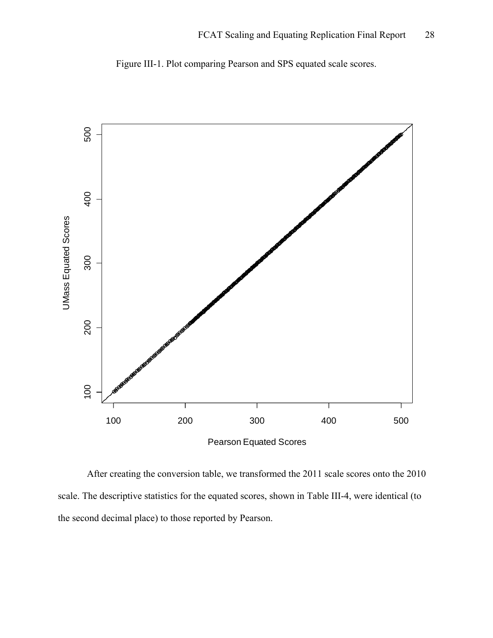

Figure III-1. Plot comparing Pearson and SPS equated scale scores.

Pearson Equated Scores

 After creating the conversion table, we transformed the 2011 scale scores onto the 2010 scale. The descriptive statistics for the equated scores, shown in Table III-4, were identical (to the second decimal place) to those reported by Pearson.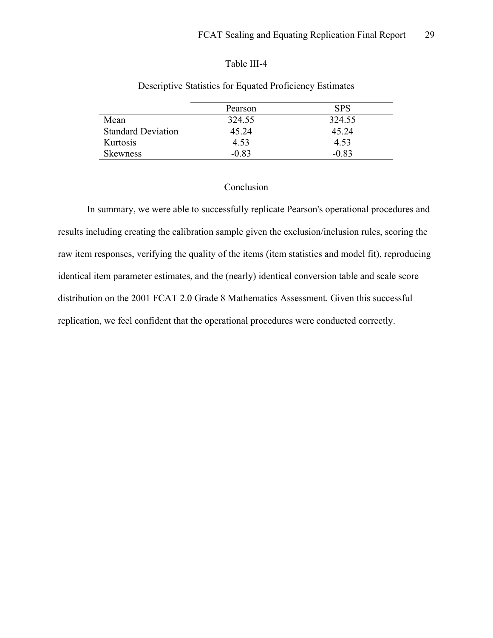## Table III-4

|                           | Pearson | SPS      |
|---------------------------|---------|----------|
| Mean                      | 324.55  | 324.55   |
| <b>Standard Deviation</b> | 45 24   | 45 24    |
| Kurtosis                  | 4.53    | 4.53     |
| Skewness                  | $-0.83$ | $-0.8^2$ |

## Descriptive Statistics for Equated Proficiency Estimates

## Conclusion

 In summary, we were able to successfully replicate Pearson's operational procedures and results including creating the calibration sample given the exclusion/inclusion rules, scoring the raw item responses, verifying the quality of the items (item statistics and model fit), reproducing identical item parameter estimates, and the (nearly) identical conversion table and scale score distribution on the 2001 FCAT 2.0 Grade 8 Mathematics Assessment. Given this successful replication, we feel confident that the operational procedures were conducted correctly.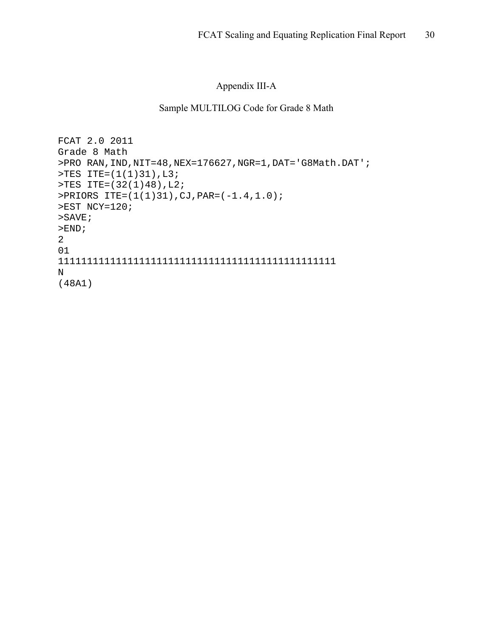# Appendix III-A

## Sample MULTILOG Code for Grade 8 Math

```
FCAT 2.0 2011 
Grade 8 Math 
>PRO RAN,IND,NIT=48,NEX=176627,NGR=1,DAT='G8Math.DAT'; 
>TES ITE=(1(1)31),L3; 
>TES ITE=(32(1)48),L2; 
>PRIORS ITE=(1(1)31),CJ,PAR=(-1.4,1.0); 
>EST NCY=120; 
>SAVE; 
>END;
2 
01 
111111111111111111111111111111111111111111111111 
N 
(48A1)
```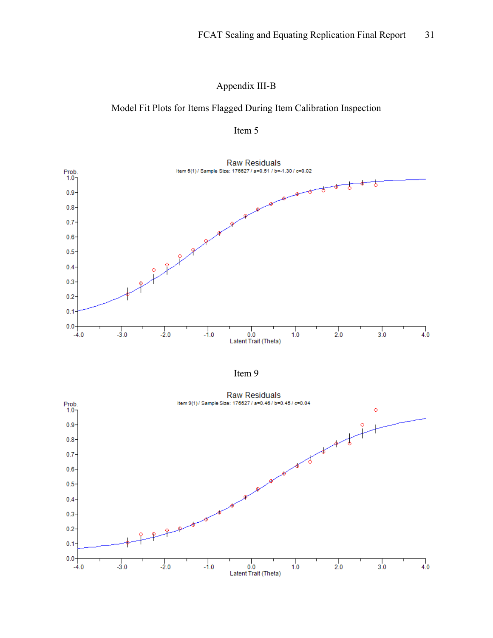# Appendix III-B

# Model Fit Plots for Items Flagged During Item Calibration Inspection







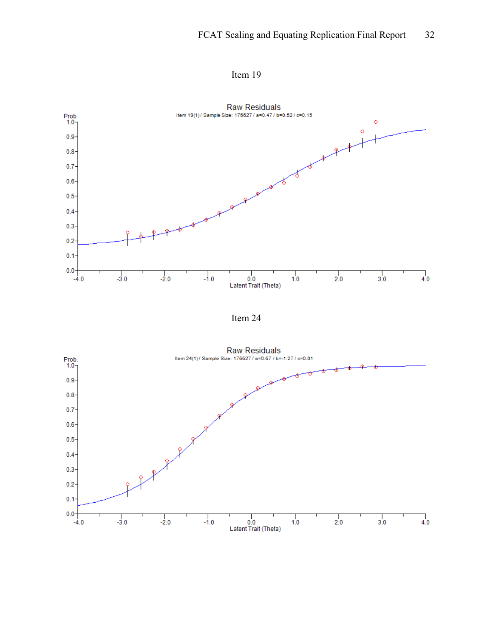



Item 24

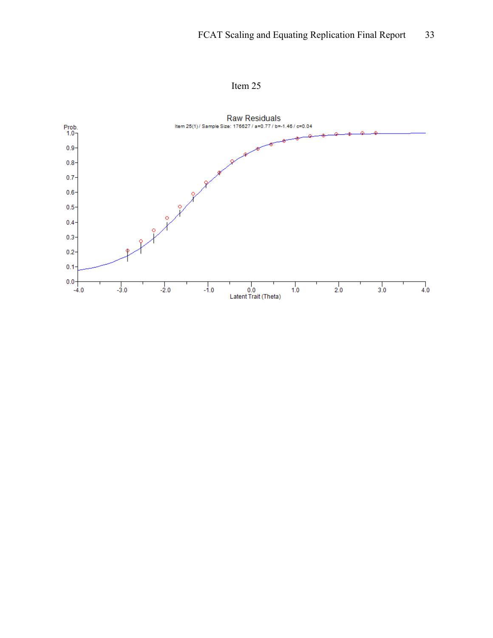

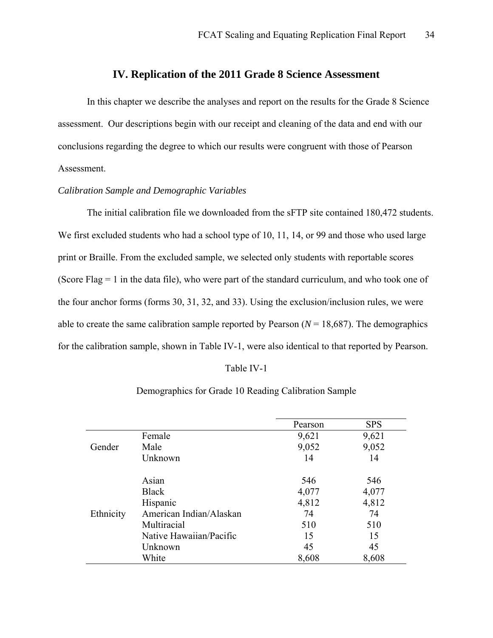## **IV. Replication of the 2011 Grade 8 Science Assessment**

<span id="page-33-0"></span>In this chapter we describe the analyses and report on the results for the Grade 8 Science assessment. Our descriptions begin with our receipt and cleaning of the data and end with our conclusions regarding the degree to which our results were congruent with those of Pearson Assessment.

## *Calibration Sample and Demographic Variables*

 The initial calibration file we downloaded from the sFTP site contained 180,472 students. We first excluded students who had a school type of 10, 11, 14, or 99 and those who used large print or Braille. From the excluded sample, we selected only students with reportable scores (Score Flag = 1 in the data file), who were part of the standard curriculum, and who took one of the four anchor forms (forms 30, 31, 32, and 33). Using the exclusion/inclusion rules, we were able to create the same calibration sample reported by Pearson  $(N = 18,687)$ . The demographics for the calibration sample, shown in Table IV-1, were also identical to that reported by Pearson.

#### Table IV-1

|           |                         | Pearson | <b>SPS</b> |
|-----------|-------------------------|---------|------------|
|           | Female                  | 9,621   | 9,621      |
| Gender    | Male                    | 9,052   | 9,052      |
|           | Unknown                 | 14      | 14         |
|           |                         |         |            |
|           | Asian                   | 546     | 546        |
|           | <b>Black</b>            | 4,077   | 4,077      |
|           | Hispanic                | 4,812   | 4,812      |
| Ethnicity | American Indian/Alaskan | 74      | 74         |
|           | Multiracial             | 510     | 510        |
|           | Native Hawaiian/Pacific | 15      | 15         |
|           | Unknown                 | 45      | 45         |
|           | White                   | 8,608   | 8,608      |

#### Demographics for Grade 10 Reading Calibration Sample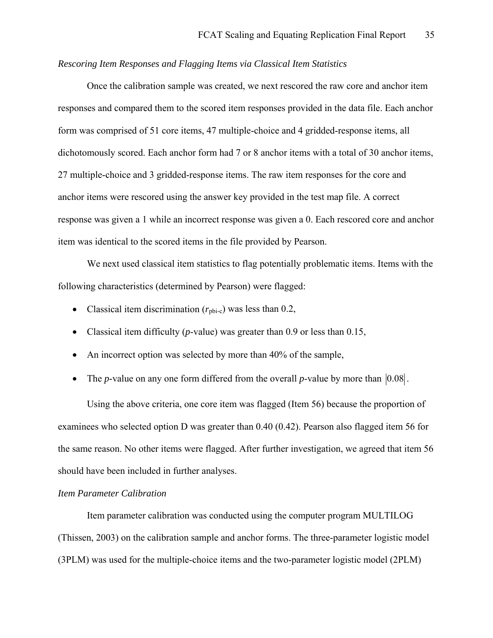### *Rescoring Item Responses and Flagging Items via Classical Item Statistics*

 Once the calibration sample was created, we next rescored the raw core and anchor item responses and compared them to the scored item responses provided in the data file. Each anchor form was comprised of 51 core items, 47 multiple-choice and 4 gridded-response items, all dichotomously scored. Each anchor form had 7 or 8 anchor items with a total of 30 anchor items, 27 multiple-choice and 3 gridded-response items. The raw item responses for the core and anchor items were rescored using the answer key provided in the test map file. A correct response was given a 1 while an incorrect response was given a 0. Each rescored core and anchor item was identical to the scored items in the file provided by Pearson.

 We next used classical item statistics to flag potentially problematic items. Items with the following characteristics (determined by Pearson) were flagged:

- Classical item discrimination  $(r_{\text{ph-c}})$  was less than 0.2,
- Classical item difficulty (*p*-value) was greater than 0.9 or less than 0.15,
- An incorrect option was selected by more than 40% of the sample,
- The *p*-value on any one form differed from the overall *p*-value by more than  $|0.08|$ .

Using the above criteria, one core item was flagged (Item 56) because the proportion of examinees who selected option D was greater than 0.40 (0.42). Pearson also flagged item 56 for the same reason. No other items were flagged. After further investigation, we agreed that item 56 should have been included in further analyses.

## *Item Parameter Calibration*

 Item parameter calibration was conducted using the computer program MULTILOG (Thissen, 2003) on the calibration sample and anchor forms. The three-parameter logistic model (3PLM) was used for the multiple-choice items and the two-parameter logistic model (2PLM)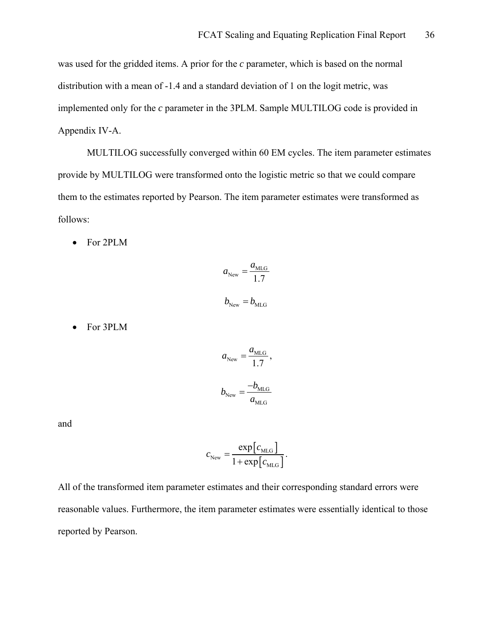was used for the gridded items. A prior for the *c* parameter, which is based on the normal distribution with a mean of -1.4 and a standard deviation of 1 on the logit metric, was implemented only for the *c* parameter in the 3PLM. Sample MULTILOG code is provided in Appendix IV-A.

 MULTILOG successfully converged within 60 EM cycles. The item parameter estimates provide by MULTILOG were transformed onto the logistic metric so that we could compare them to the estimates reported by Pearson. The item parameter estimates were transformed as follows:

• For 2PLM

$$
a_{\text{New}} = \frac{a_{\text{MLG}}}{1.7}
$$

$$
b_{\text{New}} = b_{\text{MLG}}
$$

• For 3PLM

$$
a_{\text{New}} = \frac{a_{\text{MLG}}}{1.7},
$$
  

$$
b_{\text{New}} = \frac{-b_{\text{MLG}}}{a_{\text{MLG}}}
$$

and

$$
c_{\text{New}} = \frac{\exp[c_{\text{MLG}}]}{1 + \exp[c_{\text{MLG}}]}.
$$

All of the transformed item parameter estimates and their corresponding standard errors were reasonable values. Furthermore, the item parameter estimates were essentially identical to those reported by Pearson.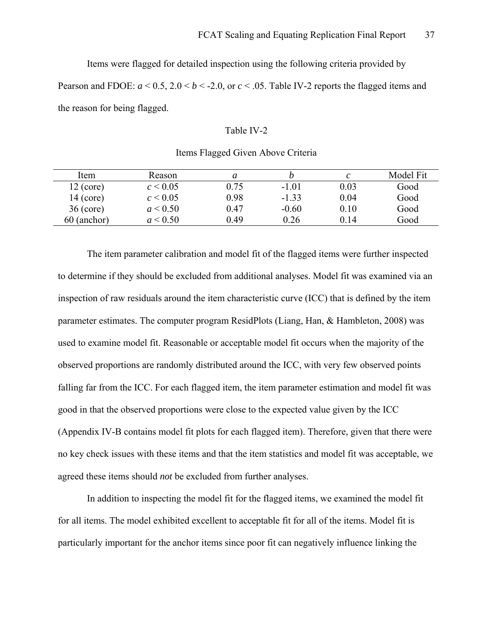Items were flagged for detailed inspection using the following criteria provided by Pearson and FDOE:  $a < 0.5$ ,  $2.0 < b < -2.0$ , or  $c < .05$ . Table IV-2 reports the flagged items and the reason for being flagged.

### Table IV-2

| Item        | Reason       |      | Ŋ       |      | Model Fit |
|-------------|--------------|------|---------|------|-----------|
| $12$ (core) | $c \le 0.05$ | 0.75 | $-1.01$ | 0.03 | Good      |
| $14$ (core) | $c \le 0.05$ | 0.98 | $-1.33$ | 0.04 | Good      |
| $36$ (core) | a < 0.50     | 0.47 | $-0.60$ | 0.10 | Good      |
| 60 (anchor) | a < 0.50     | 0.49 | 0.26    | 0 14 | Good      |

### Items Flagged Given Above Criteria

The item parameter calibration and model fit of the flagged items were further inspected to determine if they should be excluded from additional analyses. Model fit was examined via an inspection of raw residuals around the item characteristic curve (ICC) that is defined by the item parameter estimates. The computer program ResidPlots (Liang, Han, & Hambleton, 2008) was used to examine model fit. Reasonable or acceptable model fit occurs when the majority of the observed proportions are randomly distributed around the ICC, with very few observed points falling far from the ICC. For each flagged item, the item parameter estimation and model fit was good in that the observed proportions were close to the expected value given by the ICC (Appendix IV-B contains model fit plots for each flagged item). Therefore, given that there were no key check issues with these items and that the item statistics and model fit was acceptable, we agreed these items should *not* be excluded from further analyses.

 In addition to inspecting the model fit for the flagged items, we examined the model fit for all items. The model exhibited excellent to acceptable fit for all of the items. Model fit is particularly important for the anchor items since poor fit can negatively influence linking the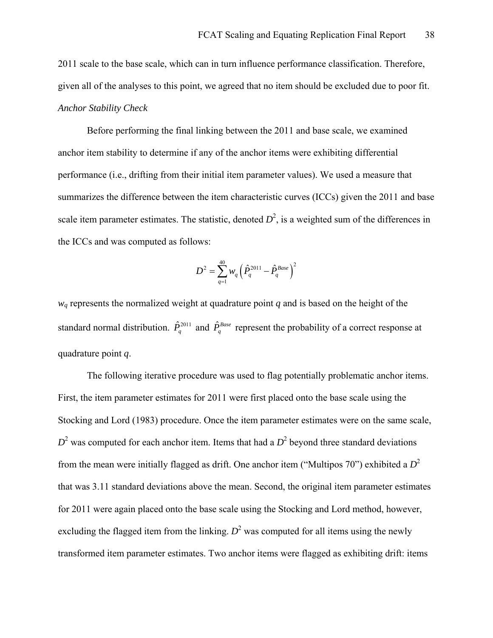2011 scale to the base scale, which can in turn influence performance classification. Therefore, given all of the analyses to this point, we agreed that no item should be excluded due to poor fit. *Anchor Stability Check* 

 Before performing the final linking between the 2011 and base scale, we examined anchor item stability to determine if any of the anchor items were exhibiting differential performance (i.e., drifting from their initial item parameter values). We used a measure that summarizes the difference between the item characteristic curves (ICCs) given the 2011 and base scale item parameter estimates. The statistic, denoted  $D^2$ , is a weighted sum of the differences in the ICCs and was computed as follows:

$$
D^2 = \sum_{q=1}^{40} w_q \Big( \hat{P}_q^{2011} - \hat{P}_q^{Base} \Big)^2
$$

 $w_q$  represents the normalized weight at quadrature point  $q$  and is based on the height of the standard normal distribution.  $\hat{P}_q^{2011}$  and  $\hat{P}_q^{Base}$  represent the probability of a correct response at quadrature point *q*.

The following iterative procedure was used to flag potentially problematic anchor items. First, the item parameter estimates for 2011 were first placed onto the base scale using the Stocking and Lord (1983) procedure. Once the item parameter estimates were on the same scale,  $D<sup>2</sup>$  was computed for each anchor item. Items that had a  $D<sup>2</sup>$  beyond three standard deviations from the mean were initially flagged as drift. One anchor item ("Multipos 70") exhibited a *D*<sup>2</sup> that was 3.11 standard deviations above the mean. Second, the original item parameter estimates for 2011 were again placed onto the base scale using the Stocking and Lord method, however, excluding the flagged item from the linking.  $D^2$  was computed for all items using the newly transformed item parameter estimates. Two anchor items were flagged as exhibiting drift: items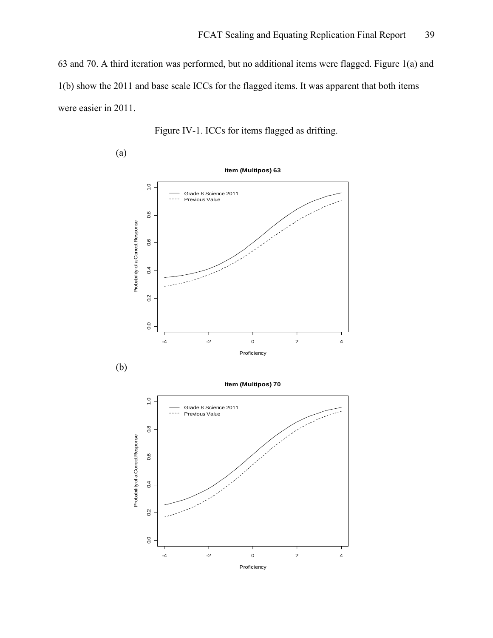63 and 70. A third iteration was performed, but no additional items were flagged. Figure 1(a) and 1(b) show the 2011 and base scale ICCs for the flagged items. It was apparent that both items were easier in 2011.

Figure IV-1. ICCs for items flagged as drifting.

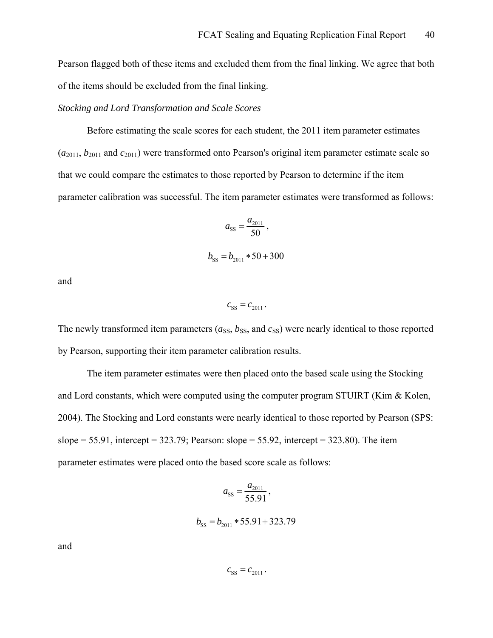Pearson flagged both of these items and excluded them from the final linking. We agree that both of the items should be excluded from the final linking.

### *Stocking and Lord Transformation and Scale Scores*

 Before estimating the scale scores for each student, the 2011 item parameter estimates  $(a_{2011}, b_{2011})$  and  $c_{2011})$  were transformed onto Pearson's original item parameter estimate scale so that we could compare the estimates to those reported by Pearson to determine if the item parameter calibration was successful. The item parameter estimates were transformed as follows:

$$
a_{\rm SS} = \frac{a_{\rm 2011}}{50},
$$

$$
b_{\rm SS} = b_{2011} * 50 + 300
$$

and

 $c_{SS} = c_{2011}$ .

The newly transformed item parameters  $(a_{SS}, b_{SS},$  and  $c_{SS})$  were nearly identical to those reported by Pearson, supporting their item parameter calibration results.

 The item parameter estimates were then placed onto the based scale using the Stocking and Lord constants, which were computed using the computer program STUIRT (Kim  $\&$  Kolen, 2004). The Stocking and Lord constants were nearly identical to those reported by Pearson (SPS: slope =  $55.91$ , intercept =  $323.79$ ; Pearson: slope =  $55.92$ , intercept =  $323.80$ ). The item parameter estimates were placed onto the based score scale as follows:

$$
a_{\rm SS} = \frac{a_{\rm 2011}}{55.91},
$$

 $b_{ss} = b_{2011} * 55.91 + 323.79$ 

and

 $c_{SS} = c_{2011}$ .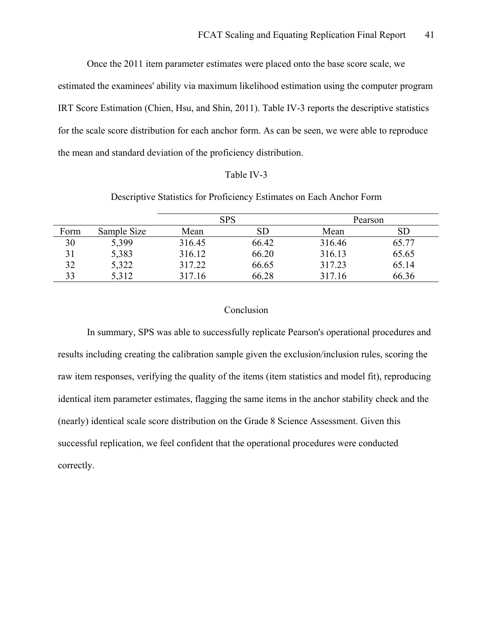Once the 2011 item parameter estimates were placed onto the base score scale, we estimated the examinees' ability via maximum likelihood estimation using the computer program IRT Score Estimation (Chien, Hsu, and Shin, 2011). Table IV-3 reports the descriptive statistics for the scale score distribution for each anchor form. As can be seen, we were able to reproduce the mean and standard deviation of the proficiency distribution.

### Table IV-3

### Descriptive Statistics for Proficiency Estimates on Each Anchor Form

|      |             | <b>SPS</b> |       | Pearson |            |
|------|-------------|------------|-------|---------|------------|
| Form | Sample Size | Mean       | SD    | Mean    | ${\rm SD}$ |
| 30   | 5,399       | 316.45     | 66.42 | 316.46  | 65.77      |
| 31   | 5,383       | 316.12     | 66.20 | 316.13  | 65.65      |
| 32   | 5,322       | 317.22     | 66.65 | 317.23  | 65.14      |
| 33   | 5,312       | 317.16     | 66.28 | 317.16  | 66.36      |

### Conclusion

 In summary, SPS was able to successfully replicate Pearson's operational procedures and results including creating the calibration sample given the exclusion/inclusion rules, scoring the raw item responses, verifying the quality of the items (item statistics and model fit), reproducing identical item parameter estimates, flagging the same items in the anchor stability check and the (nearly) identical scale score distribution on the Grade 8 Science Assessment. Given this successful replication, we feel confident that the operational procedures were conducted correctly.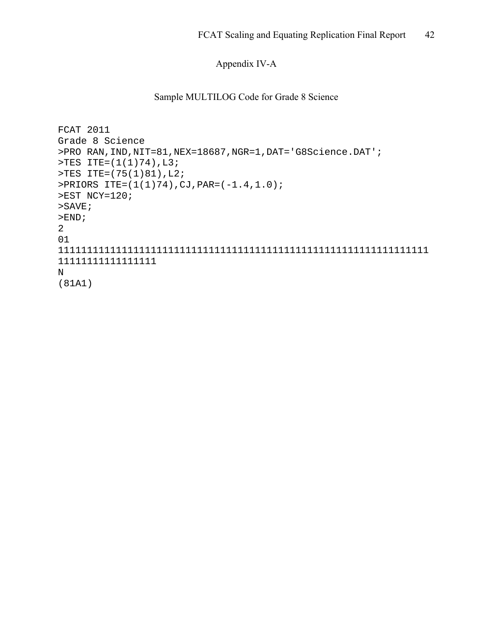# Appendix IV-A

## Sample MULTILOG Code for Grade 8 Science

```
FCAT 2011 
Grade 8 Science 
>PRO RAN,IND,NIT=81,NEX=18687,NGR=1,DAT='G8Science.DAT'; 
>TES ITE=(1(1)74),L3; 
>TES ITE=(75(1)81),L2; 
>PRIORS ITE=(1(1)74),CJ,PAR=(-1.4,1.0); 
>EST NCY=120; 
>SAVE; 
>END;
2 
01 
1111111111111111111111111111111111111111111111111111111111111111
11111111111111111 
N 
(81A1)
```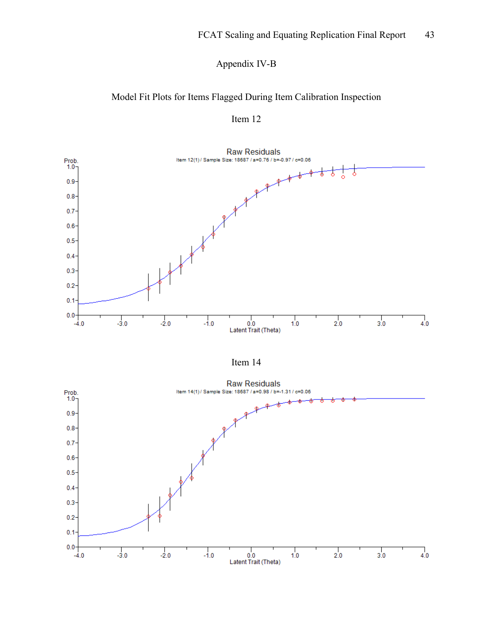# Appendix IV-B

## Model Fit Plots for Items Flagged During Item Calibration Inspection





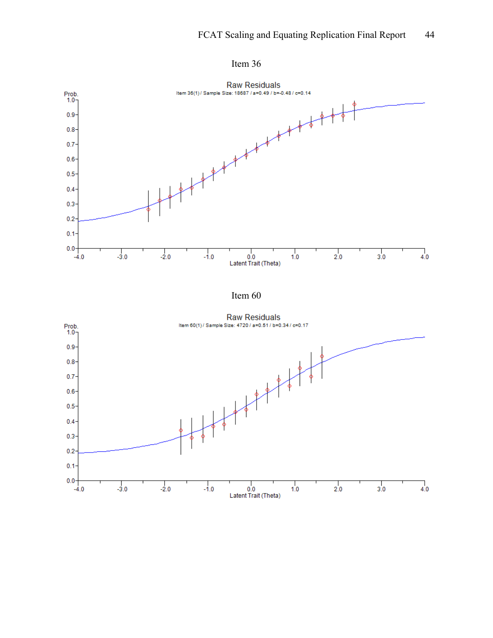



Item 60

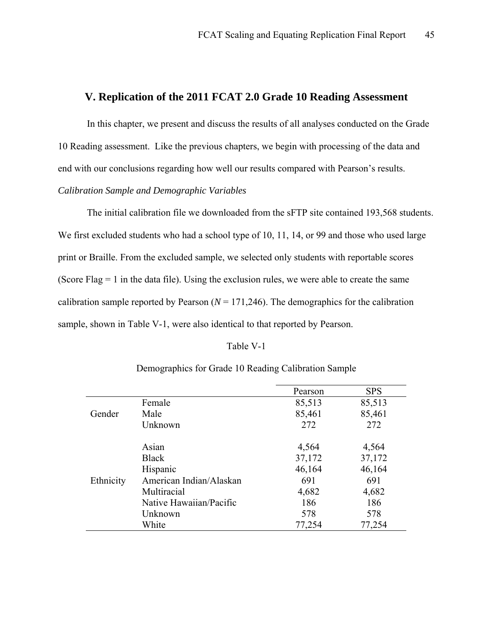### **V. Replication of the 2011 FCAT 2.0 Grade 10 Reading Assessment**

In this chapter, we present and discuss the results of all analyses conducted on the Grade 10 Reading assessment. Like the previous chapters, we begin with processing of the data and end with our conclusions regarding how well our results compared with Pearson's results. *Calibration Sample and Demographic Variables* 

 The initial calibration file we downloaded from the sFTP site contained 193,568 students. We first excluded students who had a school type of 10, 11, 14, or 99 and those who used large print or Braille. From the excluded sample, we selected only students with reportable scores (Score Flag  $= 1$  in the data file). Using the exclusion rules, we were able to create the same calibration sample reported by Pearson  $(N = 171,246)$ . The demographics for the calibration sample, shown in Table V-1, were also identical to that reported by Pearson.

#### Table V-1

|           |                         | Pearson | <b>SPS</b> |
|-----------|-------------------------|---------|------------|
|           | Female                  | 85,513  | 85,513     |
| Gender    | Male                    | 85,461  | 85,461     |
|           | Unknown                 | 272     | 272        |
|           | Asian                   | 4,564   | 4,564      |
|           | <b>Black</b>            | 37,172  | 37,172     |
|           | Hispanic                | 46,164  | 46,164     |
| Ethnicity | American Indian/Alaskan | 691     | 691        |
|           | Multiracial             | 4,682   | 4,682      |
|           | Native Hawaiian/Pacific | 186     | 186        |
|           | Unknown                 | 578     | 578        |
|           | White                   | 77,254  | 77,254     |

## Demographics for Grade 10 Reading Calibration Sample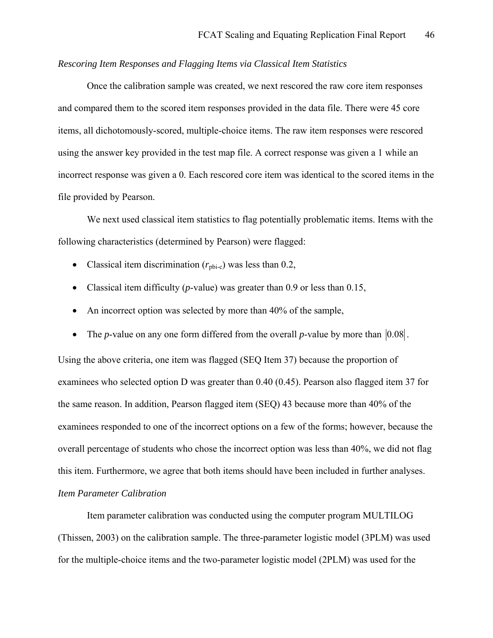### *Rescoring Item Responses and Flagging Items via Classical Item Statistics*

 Once the calibration sample was created, we next rescored the raw core item responses and compared them to the scored item responses provided in the data file. There were 45 core items, all dichotomously-scored, multiple-choice items. The raw item responses were rescored using the answer key provided in the test map file. A correct response was given a 1 while an incorrect response was given a 0. Each rescored core item was identical to the scored items in the file provided by Pearson.

 We next used classical item statistics to flag potentially problematic items. Items with the following characteristics (determined by Pearson) were flagged:

- Classical item discrimination  $(r_{\text{ph-c}})$  was less than 0.2,
- Classical item difficulty (*p*-value) was greater than 0.9 or less than 0.15,
- An incorrect option was selected by more than 40% of the sample,
- The *p*-value on any one form differed from the overall *p*-value by more than  $|0.08|$ .

Using the above criteria, one item was flagged (SEQ Item 37) because the proportion of examinees who selected option D was greater than 0.40 (0.45). Pearson also flagged item 37 for the same reason. In addition, Pearson flagged item (SEQ) 43 because more than 40% of the examinees responded to one of the incorrect options on a few of the forms; however, because the overall percentage of students who chose the incorrect option was less than 40%, we did not flag this item. Furthermore, we agree that both items should have been included in further analyses. *Item Parameter Calibration* 

 Item parameter calibration was conducted using the computer program MULTILOG (Thissen, 2003) on the calibration sample. The three-parameter logistic model (3PLM) was used for the multiple-choice items and the two-parameter logistic model (2PLM) was used for the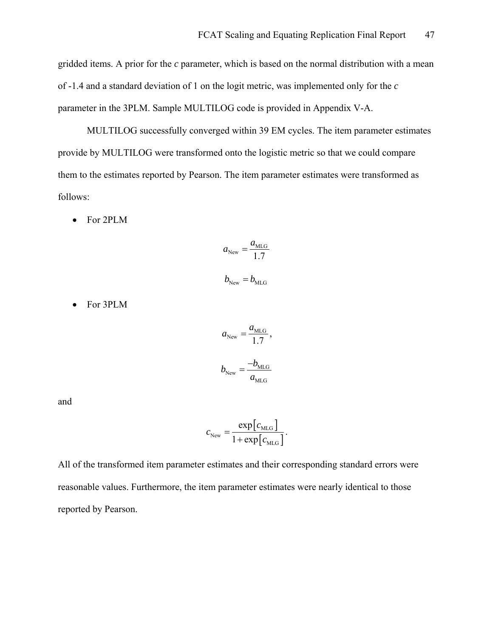gridded items. A prior for the *c* parameter, which is based on the normal distribution with a mean of -1.4 and a standard deviation of 1 on the logit metric, was implemented only for the *c* parameter in the 3PLM. Sample MULTILOG code is provided in Appendix V-A.

 MULTILOG successfully converged within 39 EM cycles. The item parameter estimates provide by MULTILOG were transformed onto the logistic metric so that we could compare them to the estimates reported by Pearson. The item parameter estimates were transformed as follows:

• For 2PLM

$$
a_{\text{New}} = \frac{a_{\text{MLG}}}{1.7}
$$

$$
b_{\text{New}} = b_{\text{MLG}}
$$

• For 3PLM

$$
a_{\text{New}} = \frac{a_{\text{MLG}}}{1.7},
$$
  

$$
b_{\text{New}} = \frac{-b_{\text{MLG}}}{a_{\text{MLG}}}
$$

and

$$
c_{\text{New}} = \frac{\exp[c_{\text{MLG}}]}{1 + \exp[c_{\text{MLG}}]}.
$$

All of the transformed item parameter estimates and their corresponding standard errors were reasonable values. Furthermore, the item parameter estimates were nearly identical to those reported by Pearson.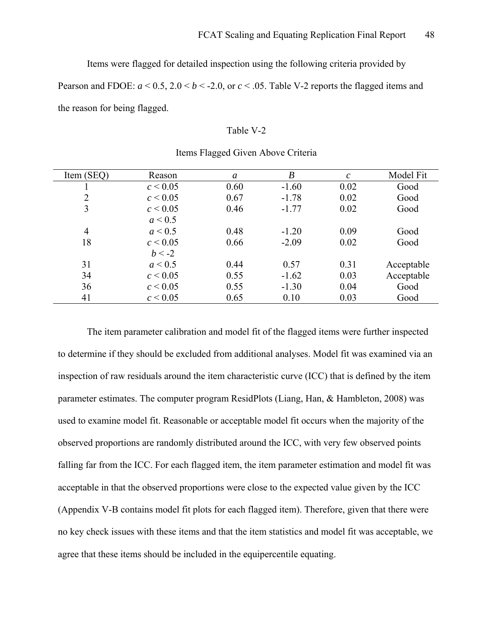Items were flagged for detailed inspection using the following criteria provided by

Pearson and FDOE:  $a < 0.5$ ,  $2.0 < b < -2.0$ , or  $c < .05$ . Table V-2 reports the flagged items and the reason for being flagged.

### Table V-2

| Item (SEQ)     | Reason       | a    | $\boldsymbol{B}$ | $\mathcal{C}$ | Model Fit  |
|----------------|--------------|------|------------------|---------------|------------|
|                | c < 0.05     | 0.60 | $-1.60$          | 0.02          | Good       |
| $\overline{2}$ | $c \le 0.05$ | 0.67 | $-1.78$          | 0.02          | Good       |
| 3              | $c \le 0.05$ | 0.46 | $-1.77$          | 0.02          | Good       |
|                | a < 0.5      |      |                  |               |            |
| $\overline{4}$ | a < 0.5      | 0.48 | $-1.20$          | 0.09          | Good       |
| 18             | $c \le 0.05$ | 0.66 | $-2.09$          | 0.02          | Good       |
|                | $b < -2$     |      |                  |               |            |
| 31             | a < 0.5      | 0.44 | 0.57             | 0.31          | Acceptable |
| 34             | $c \le 0.05$ | 0.55 | $-1.62$          | 0.03          | Acceptable |
| 36             | $c \le 0.05$ | 0.55 | $-1.30$          | 0.04          | Good       |
| 41             | $c \le 0.05$ | 0.65 | 0.10             | 0.03          | Good       |

### Items Flagged Given Above Criteria

The item parameter calibration and model fit of the flagged items were further inspected to determine if they should be excluded from additional analyses. Model fit was examined via an inspection of raw residuals around the item characteristic curve (ICC) that is defined by the item parameter estimates. The computer program ResidPlots (Liang, Han, & Hambleton, 2008) was used to examine model fit. Reasonable or acceptable model fit occurs when the majority of the observed proportions are randomly distributed around the ICC, with very few observed points falling far from the ICC. For each flagged item, the item parameter estimation and model fit was acceptable in that the observed proportions were close to the expected value given by the ICC (Appendix V-B contains model fit plots for each flagged item). Therefore, given that there were no key check issues with these items and that the item statistics and model fit was acceptable, we agree that these items should be included in the equipercentile equating.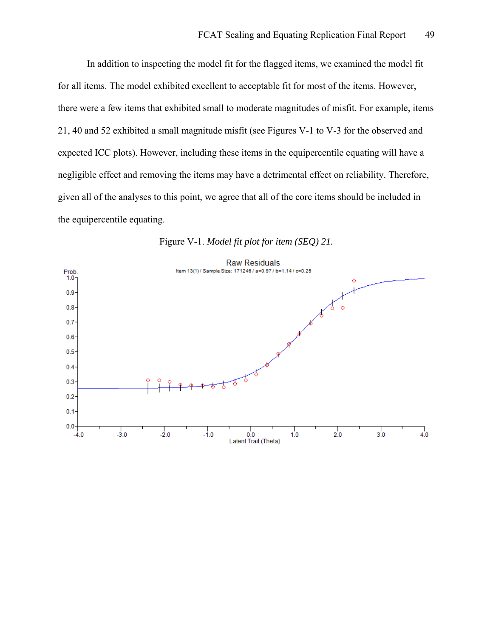In addition to inspecting the model fit for the flagged items, we examined the model fit for all items. The model exhibited excellent to acceptable fit for most of the items. However, there were a few items that exhibited small to moderate magnitudes of misfit. For example, items 21, 40 and 52 exhibited a small magnitude misfit (see Figures V-1 to V-3 for the observed and expected ICC plots). However, including these items in the equipercentile equating will have a negligible effect and removing the items may have a detrimental effect on reliability. Therefore, given all of the analyses to this point, we agree that all of the core items should be included in the equipercentile equating.



Figure V-1. *Model fit plot for item (SEQ) 21.*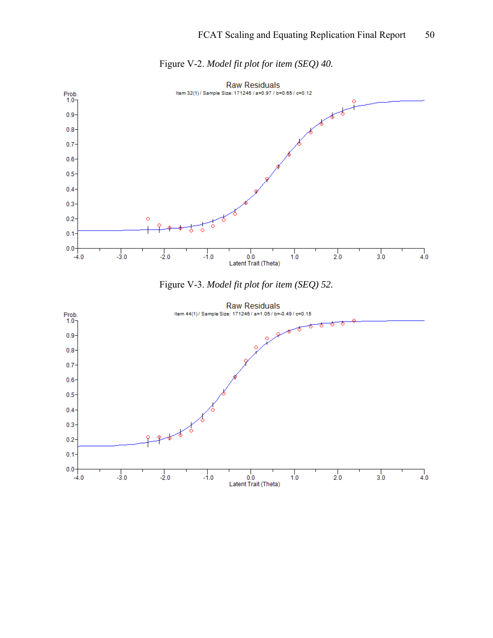

Figure V-2. *Model fit plot for item (SEQ) 40.* 



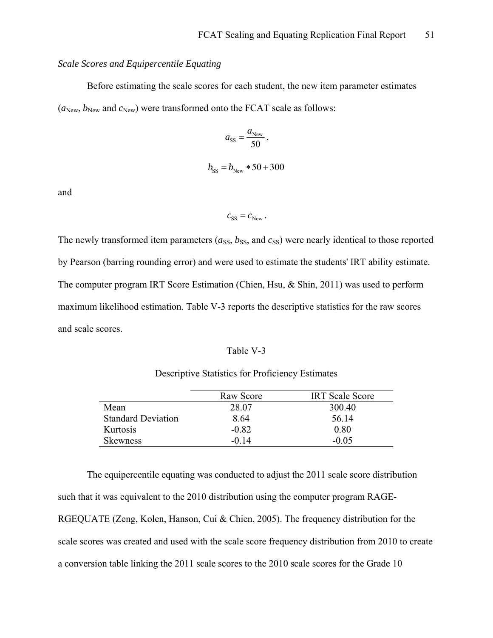### *Scale Scores and Equipercentile Equating*

 Before estimating the scale scores for each student, the new item parameter estimates  $(a_{New}, b_{New}$  and  $c_{New}$ ) were transformed onto the FCAT scale as follows:

$$
a_{\rm SS} = \frac{a_{\rm New}}{50},
$$
  

$$
b_{\rm SS} = b_{\rm New} * 50 + 300
$$

and

$$
c_{\rm SS}^{}=c_{\rm New}^{}\,.
$$

The newly transformed item parameters  $(a_{\rm SS}, b_{\rm SS}, a_{\rm MS})$  were nearly identical to those reported by Pearson (barring rounding error) and were used to estimate the students' IRT ability estimate. The computer program IRT Score Estimation (Chien, Hsu, & Shin, 2011) was used to perform maximum likelihood estimation. Table V-3 reports the descriptive statistics for the raw scores and scale scores.

### Table V-3

### Descriptive Statistics for Proficiency Estimates

|                           | Raw Score | <b>IRT</b> Scale Score |
|---------------------------|-----------|------------------------|
| Mean                      | 28.07     | 300.40                 |
| <b>Standard Deviation</b> | 8.64      | 56.14                  |
| Kurtosis                  | $-0.82$   | 0.80                   |
| Skewness                  | -0.14     | $-0.05$                |

 The equipercentile equating was conducted to adjust the 2011 scale score distribution such that it was equivalent to the 2010 distribution using the computer program RAGE-RGEQUATE (Zeng, Kolen, Hanson, Cui & Chien, 2005). The frequency distribution for the scale scores was created and used with the scale score frequency distribution from 2010 to create a conversion table linking the 2011 scale scores to the 2010 scale scores for the Grade 10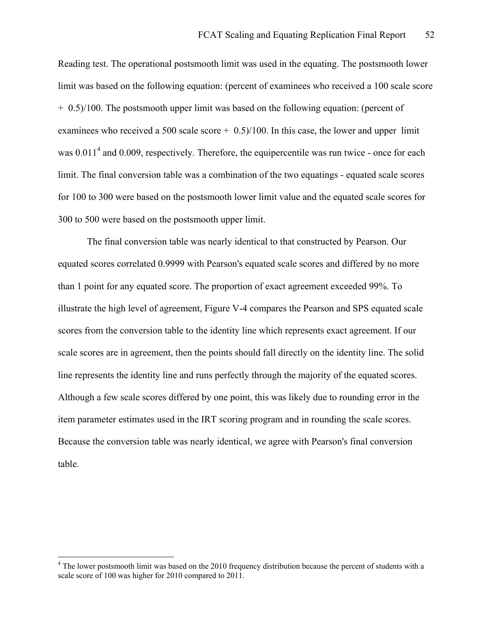Reading test. The operational postsmooth limit was used in the equating. The postsmooth lower limit was based on the following equation: (percent of examinees who received a 100 scale score  $+$  0.5)/100. The postsmooth upper limit was based on the following equation: (percent of examinees who received a 500 scale score  $+$  0.5)/100. In this case, the lower and upper limit was  $0.011<sup>4</sup>$  $0.011<sup>4</sup>$  $0.011<sup>4</sup>$  and  $0.009$ , respectively. Therefore, the equipercentile was run twice - once for each limit. The final conversion table was a combination of the two equatings - equated scale scores for 100 to 300 were based on the postsmooth lower limit value and the equated scale scores for 300 to 500 were based on the postsmooth upper limit.

 The final conversion table was nearly identical to that constructed by Pearson. Our equated scores correlated 0.9999 with Pearson's equated scale scores and differed by no more than 1 point for any equated score. The proportion of exact agreement exceeded 99%. To illustrate the high level of agreement, Figure V-4 compares the Pearson and SPS equated scale scores from the conversion table to the identity line which represents exact agreement. If our scale scores are in agreement, then the points should fall directly on the identity line. The solid line represents the identity line and runs perfectly through the majority of the equated scores. Although a few scale scores differed by one point, this was likely due to rounding error in the item parameter estimates used in the IRT scoring program and in rounding the scale scores. Because the conversion table was nearly identical, we agree with Pearson's final conversion table.

1

<span id="page-51-0"></span><sup>&</sup>lt;sup>4</sup> The lower postsmooth limit was based on the 2010 frequency distribution because the percent of students with a scale score of 100 was higher for 2010 compared to 2011.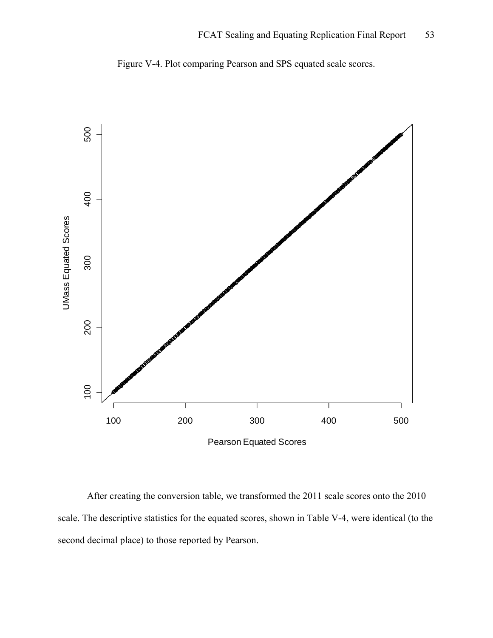

Figure V-4. Plot comparing Pearson and SPS equated scale scores.

Pearson Equated Scores

 After creating the conversion table, we transformed the 2011 scale scores onto the 2010 scale. The descriptive statistics for the equated scores, shown in Table V-4, were identical (to the second decimal place) to those reported by Pearson.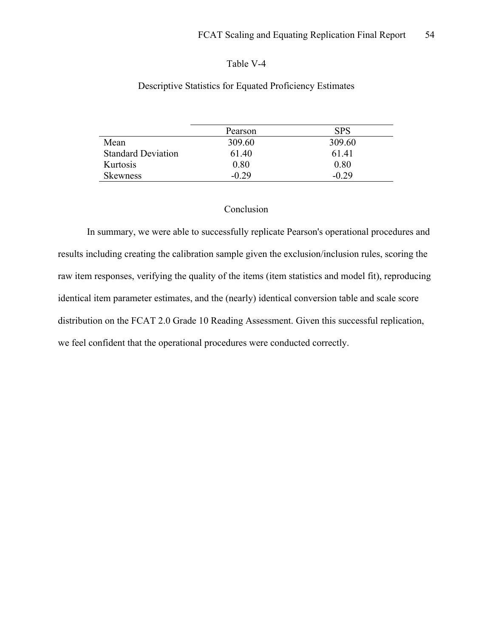## Table V-4

# Pearson SPS Mean 309.60 309.60 Standard Deviation 61.40 61.41 Kurtosis 0.80 0.80 Skewness -0.29 -0.29

# Descriptive Statistics for Equated Proficiency Estimates

## Conclusion

In summary, we were able to successfully replicate Pearson's operational procedures and results including creating the calibration sample given the exclusion/inclusion rules, scoring the raw item responses, verifying the quality of the items (item statistics and model fit), reproducing identical item parameter estimates, and the (nearly) identical conversion table and scale score distribution on the FCAT 2.0 Grade 10 Reading Assessment. Given this successful replication, we feel confident that the operational procedures were conducted correctly.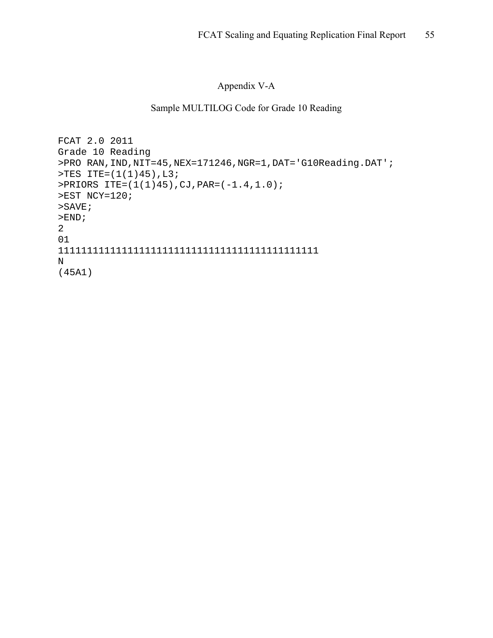# Appendix V-A

# Sample MULTILOG Code for Grade 10 Reading

```
FCAT 2.0 2011 
Grade 10 Reading 
>PRO RAN,IND,NIT=45,NEX=171246,NGR=1,DAT='G10Reading.DAT'; 
>TES ITE=(1(1)45),L3; 
>PRIORS ITE=(1(1)45),CJ,PAR=(-1.4,1.0); 
>EST NCY=120; 
>SAVE; 
>END;
2 
01 
111111111111111111111111111111111111111111111 
N 
(45A1)
```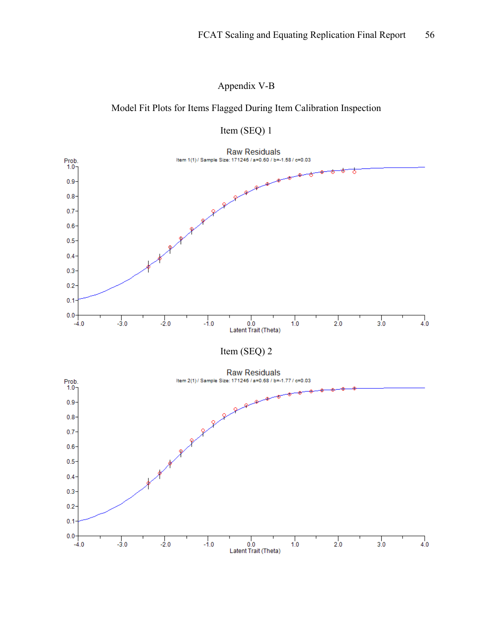Appendix V-B

# Model Fit Plots for Items Flagged During Item Calibration Inspection



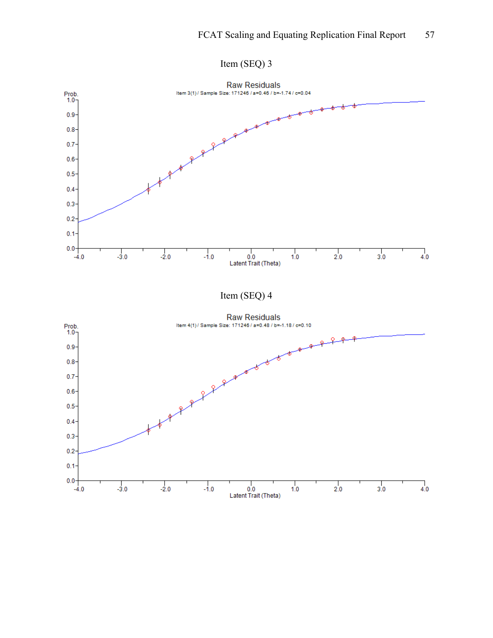

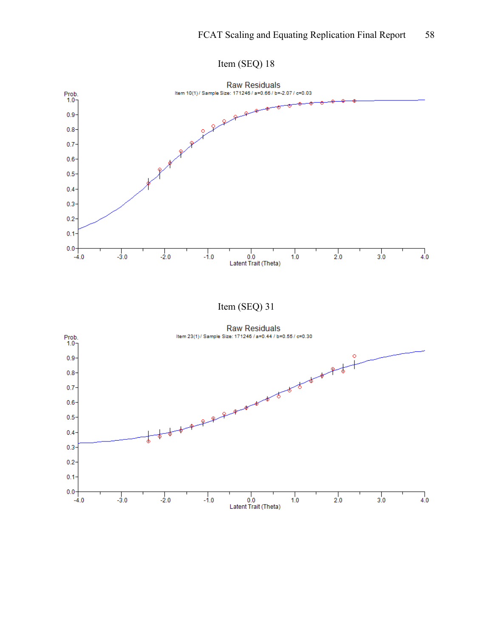

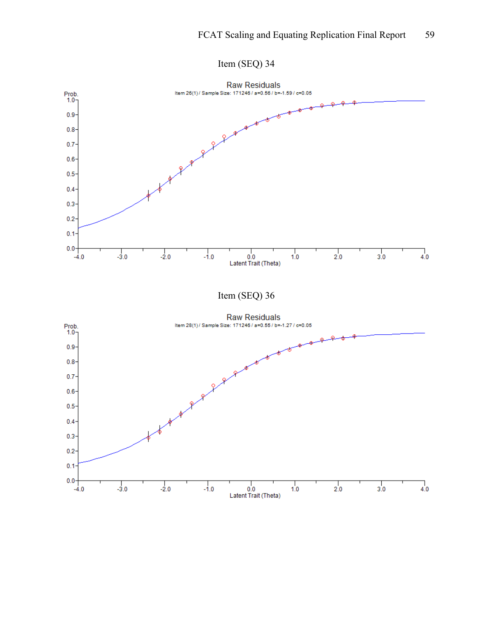

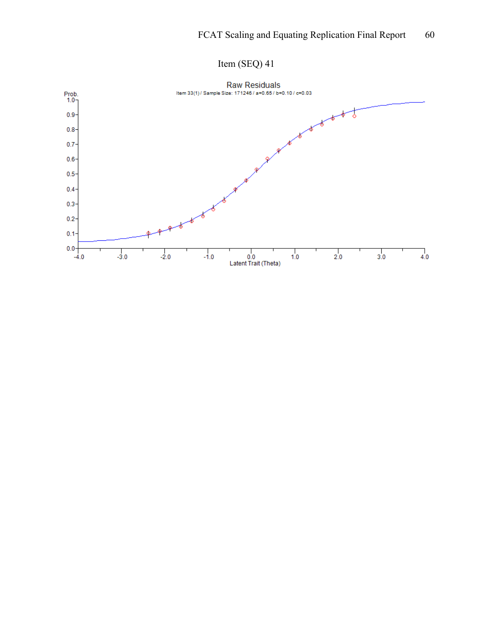

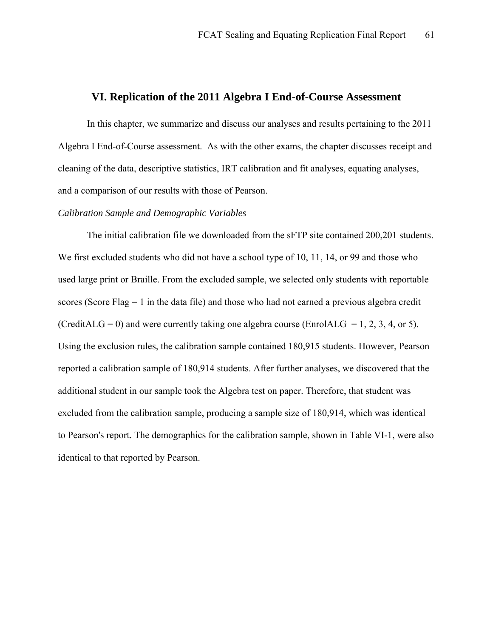### **VI. Replication of the 2011 Algebra I End-of-Course Assessment**

In this chapter, we summarize and discuss our analyses and results pertaining to the 2011 Algebra I End-of-Course assessment. As with the other exams, the chapter discusses receipt and cleaning of the data, descriptive statistics, IRT calibration and fit analyses, equating analyses, and a comparison of our results with those of Pearson.

### *Calibration Sample and Demographic Variables*

 The initial calibration file we downloaded from the sFTP site contained 200,201 students. We first excluded students who did not have a school type of 10, 11, 14, or 99 and those who used large print or Braille. From the excluded sample, we selected only students with reportable scores (Score Flag  $= 1$  in the data file) and those who had not earned a previous algebra credit (CreditALG = 0) and were currently taking one algebra course (EnrolALG = 1, 2, 3, 4, or 5). Using the exclusion rules, the calibration sample contained 180,915 students. However, Pearson reported a calibration sample of 180,914 students. After further analyses, we discovered that the additional student in our sample took the Algebra test on paper. Therefore, that student was excluded from the calibration sample, producing a sample size of 180,914, which was identical to Pearson's report. The demographics for the calibration sample, shown in Table VI-1, were also identical to that reported by Pearson.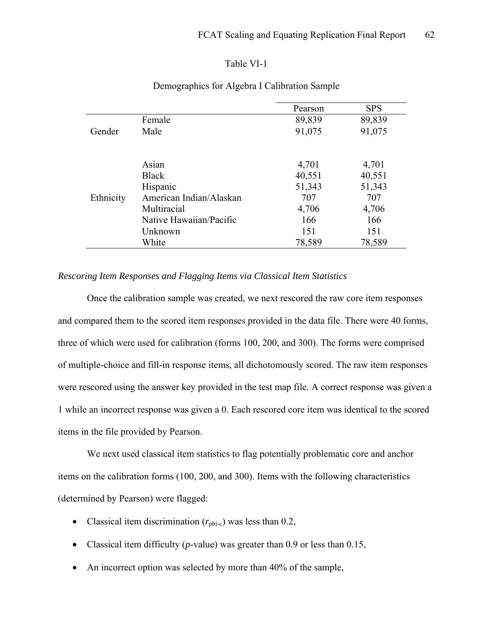### Table VI-1

|           |                         | Pearson | <b>SPS</b> |
|-----------|-------------------------|---------|------------|
|           | Female                  | 89,839  | 89,839     |
| Gender    | Male                    | 91,075  | 91,075     |
|           |                         |         |            |
|           |                         |         |            |
|           | Asian                   | 4,701   | 4,701      |
|           | <b>Black</b>            | 40,551  | 40,551     |
|           | Hispanic                | 51,343  | 51,343     |
| Ethnicity | American Indian/Alaskan | 707     | 707        |
|           | Multiracial             | 4,706   | 4,706      |
|           | Native Hawaiian/Pacific | 166     | 166        |
|           | Unknown                 | 151     | 151        |
|           | White                   | 78,589  | 78,589     |

# Demographics for Algebra I Calibration Sample

# *Rescoring Item Responses and Flagging Items via Classical Item Statistics*

 Once the calibration sample was created, we next rescored the raw core item responses and compared them to the scored item responses provided in the data file. There were 40 forms, three of which were used for calibration (forms 100, 200, and 300). The forms were comprised of multiple-choice and fill-in response items, all dichotomously scored. The raw item responses were rescored using the answer key provided in the test map file. A correct response was given a 1 while an incorrect response was given a 0. Each rescored core item was identical to the scored items in the file provided by Pearson.

 We next used classical item statistics to flag potentially problematic core and anchor items on the calibration forms (100, 200, and 300). Items with the following characteristics (determined by Pearson) were flagged:

- Classical item discrimination  $(r_{\text{pbi-c}})$  was less than 0.2,
- Classical item difficulty (*p*-value) was greater than 0.9 or less than 0.15,
- An incorrect option was selected by more than 40% of the sample,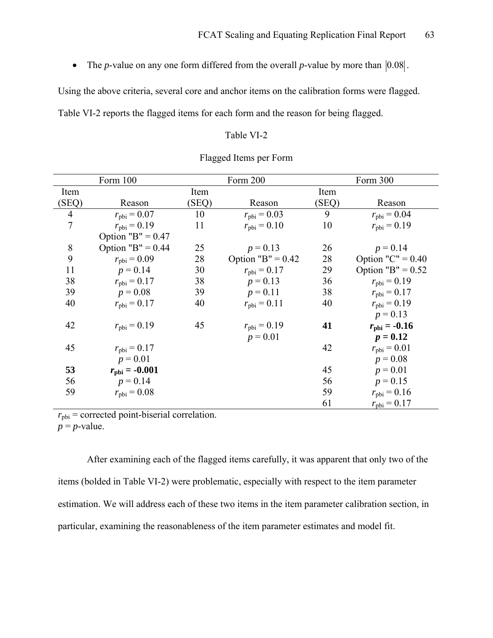• The *p*-value on any one form differed from the overall *p*-value by more than  $|0.08|$ .

Using the above criteria, several core and anchor items on the calibration forms were flagged.

Table VI-2 reports the flagged items for each form and the reason for being flagged.

### Table VI-2

| Form 100       |                         | Form 200 |                         | Form 300 |                         |
|----------------|-------------------------|----------|-------------------------|----------|-------------------------|
| Item           |                         | Item     |                         | Item     |                         |
| (SEQ)          | Reason                  | (SEQ)    | Reason                  | (SEQ)    | Reason                  |
| $\overline{4}$ | $r_{\rm pbi} = 0.07$    | 10       | $r_{\rm pbi} = 0.03$    | 9        | $r_{\text{bbi}} = 0.04$ |
| $\overline{7}$ | $r_{\text{bbi}} = 0.19$ | 11       | $r_{\rm pbi} = 0.10$    | 10       | $r_{\rm pbi} = 0.19$    |
|                | Option "B" = $0.47$     |          |                         |          |                         |
| 8              | Option "B" = $0.44$     | 25       | $p = 0.13$              | 26       | $p = 0.14$              |
| 9              | $r_{\text{bbi}} = 0.09$ | 28       | Option "B" = $0.42$     | 28       | Option " $C$ " = 0.40   |
| 11             | $p = 0.14$              | 30       | $r_{\text{bbi}} = 0.17$ | 29       | Option "B" = $0.52$     |
| 38             | $r_{\rm pbi} = 0.17$    | 38       | $p = 0.13$              | 36       | $r_{\rm pbi} = 0.19$    |
| 39             | $p = 0.08$              | 39       | $p = 0.11$              | 38       | $r_{\rm pbi} = 0.17$    |
| 40             | $r_{\rm pbi} = 0.17$    | 40       | $r_{\rm pbi} = 0.11$    | 40       | $r_{\text{bbi}} = 0.19$ |
|                |                         |          |                         |          | $p = 0.13$              |
| 42             | $r_{\rm pbi} = 0.19$    | 45       | $r_{\rm pbi} = 0.19$    | 41       | $r_{\rm{bbi}} = -0.16$  |
|                |                         |          | $p = 0.01$              |          | $p = 0.12$              |
| 45             | $r_{\rm pbi} = 0.17$    |          |                         | 42       | $r_{\rm pbi} = 0.01$    |
|                | $p = 0.01$              |          |                         |          | $p = 0.08$              |
| 53             | $r_{\rm{bbi}} = -0.001$ |          |                         | 45       | $p = 0.01$              |
| 56             | $p = 0.14$              |          |                         | 56       | $p = 0.15$              |
| 59             | $r_{\rm pbi} = 0.08$    |          |                         | 59       | $r_{\text{bbi}} = 0.16$ |
|                |                         |          |                         | 61       | $r_{\rm pbi} = 0.17$    |

### Flagged Items per Form

 $r_{\text{pbi}}$  = corrected point-biserial correlation.  $p = p$ -value.

After examining each of the flagged items carefully, it was apparent that only two of the items (bolded in Table VI-2) were problematic, especially with respect to the item parameter estimation. We will address each of these two items in the item parameter calibration section, in particular, examining the reasonableness of the item parameter estimates and model fit.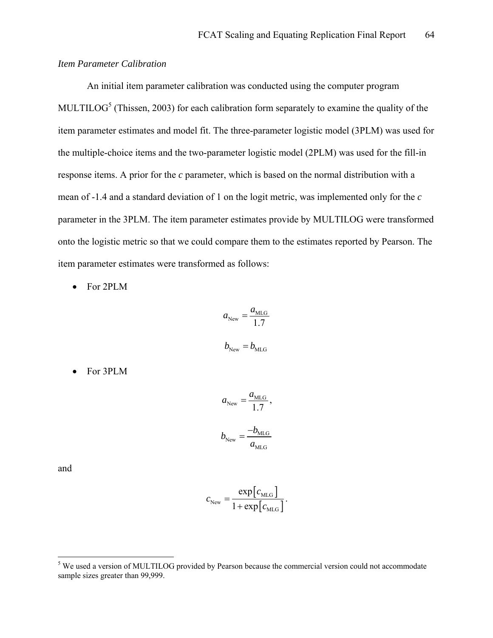## *Item Parameter Calibration*

 An initial item parameter calibration was conducted using the computer program MULTILOG<sup>[5](#page-63-0)</sup> (Thissen, 2003) for each calibration form separately to examine the quality of the item parameter estimates and model fit. The three-parameter logistic model (3PLM) was used for the multiple-choice items and the two-parameter logistic model (2PLM) was used for the fill-in response items. A prior for the *c* parameter, which is based on the normal distribution with a mean of -1.4 and a standard deviation of 1 on the logit metric, was implemented only for the *c* parameter in the 3PLM. The item parameter estimates provide by MULTILOG were transformed onto the logistic metric so that we could compare them to the estimates reported by Pearson. The item parameter estimates were transformed as follows:

• For 2PLM

$$
a_{\text{New}} = \frac{a_{\text{MLG}}}{1.7}
$$

$$
b_{\text{New}} = b_{\text{MLG}}
$$

• For 3PLM

$$
a_{\text{New}} = \frac{a_{\text{MLG}}}{1.7},
$$
  

$$
b_{\text{New}} = \frac{-b_{\text{MLG}}}{a_{\text{MLG}}}
$$

and

$$
c_{\text{New}} = \frac{\exp[c_{\text{MLG}}]}{1 + \exp[c_{\text{MLG}}]}.
$$

<span id="page-63-0"></span><sup>&</sup>lt;sup>5</sup> We used a version of MULTILOG provided by Pearson because the commercial version could not accommodate sample sizes greater than 99,999.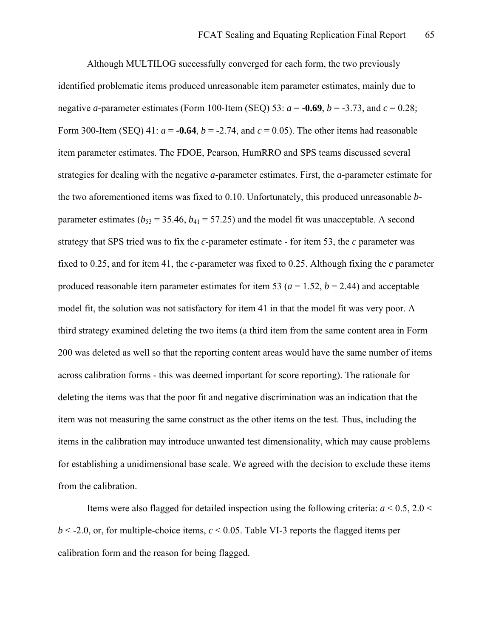Although MULTILOG successfully converged for each form, the two previously identified problematic items produced unreasonable item parameter estimates, mainly due to negative *a*-parameter estimates (Form 100-Item (SEO) 53:  $a = -0.69$ ,  $b = -3.73$ , and  $c = 0.28$ ; Form 300-Item (SEQ) 41:  $a = -0.64$ ,  $b = -2.74$ , and  $c = 0.05$ ). The other items had reasonable item parameter estimates. The FDOE, Pearson, HumRRO and SPS teams discussed several strategies for dealing with the negative *a*-parameter estimates. First, the *a*-parameter estimate for the two aforementioned items was fixed to 0.10. Unfortunately, this produced unreasonable *b*parameter estimates ( $b_{53}$  = 35.46,  $b_{41}$  = 57.25) and the model fit was unacceptable. A second strategy that SPS tried was to fix the *c*-parameter estimate - for item 53, the *c* parameter was fixed to 0.25, and for item 41, the *c*-parameter was fixed to 0.25. Although fixing the *c* parameter produced reasonable item parameter estimates for item 53 ( $a = 1.52$ ,  $b = 2.44$ ) and acceptable model fit, the solution was not satisfactory for item 41 in that the model fit was very poor. A third strategy examined deleting the two items (a third item from the same content area in Form 200 was deleted as well so that the reporting content areas would have the same number of items across calibration forms - this was deemed important for score reporting). The rationale for deleting the items was that the poor fit and negative discrimination was an indication that the item was not measuring the same construct as the other items on the test. Thus, including the items in the calibration may introduce unwanted test dimensionality, which may cause problems for establishing a unidimensional base scale. We agreed with the decision to exclude these items from the calibration.

Items were also flagged for detailed inspection using the following criteria:  $a \le 0.5$ , 2.0  $\le$  $b < -2.0$ , or, for multiple-choice items,  $c < 0.05$ . Table VI-3 reports the flagged items per calibration form and the reason for being flagged.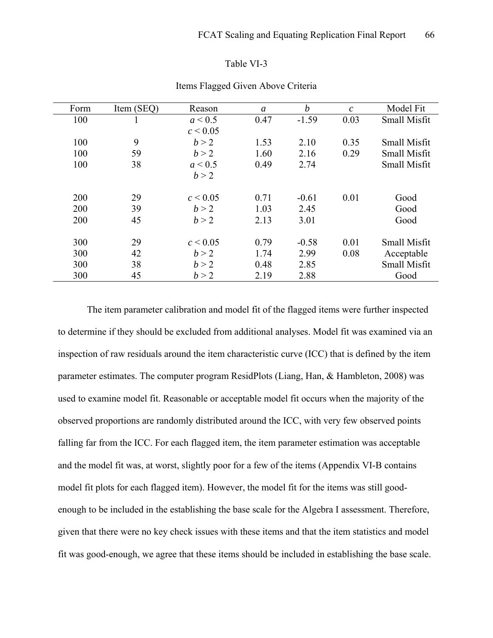#### Table VI-3

| Item (SEQ) | Reason       | a    | $\boldsymbol{b}$ | $\mathcal{C}$ | Model Fit           |
|------------|--------------|------|------------------|---------------|---------------------|
|            | a < 0.5      | 0.47 | $-1.59$          | 0.03          | <b>Small Misfit</b> |
|            | $c \le 0.05$ |      |                  |               |                     |
| 9          | b > 2        | 1.53 | 2.10             | 0.35          | <b>Small Misfit</b> |
| 59         | b > 2        | 1.60 | 2.16             | 0.29          | <b>Small Misfit</b> |
| 38         | a < 0.5      | 0.49 | 2.74             |               | Small Misfit        |
|            | b > 2        |      |                  |               |                     |
|            |              |      |                  |               |                     |
| 29         | $c \le 0.05$ | 0.71 | $-0.61$          | 0.01          | Good                |
| 39         | h > 2        | 1.03 | 2.45             |               | Good                |
| 45         | b > 2        | 2.13 | 3.01             |               | Good                |
|            |              |      |                  |               |                     |
| 29         | $c \le 0.05$ | 0.79 | $-0.58$          | 0.01          | <b>Small Misfit</b> |
| 42         | b > 2        | 1.74 | 2.99             | 0.08          | Acceptable          |
| 38         | b > 2        | 0.48 | 2.85             |               | <b>Small Misfit</b> |
| 45         | b > 2        | 2.19 | 2.88             |               | Good                |
|            |              |      |                  |               |                     |

### Items Flagged Given Above Criteria

The item parameter calibration and model fit of the flagged items were further inspected to determine if they should be excluded from additional analyses. Model fit was examined via an inspection of raw residuals around the item characteristic curve (ICC) that is defined by the item parameter estimates. The computer program ResidPlots (Liang, Han, & Hambleton, 2008) was used to examine model fit. Reasonable or acceptable model fit occurs when the majority of the observed proportions are randomly distributed around the ICC, with very few observed points falling far from the ICC. For each flagged item, the item parameter estimation was acceptable and the model fit was, at worst, slightly poor for a few of the items (Appendix VI-B contains model fit plots for each flagged item). However, the model fit for the items was still goodenough to be included in the establishing the base scale for the Algebra I assessment. Therefore, given that there were no key check issues with these items and that the item statistics and model fit was good-enough, we agree that these items should be included in establishing the base scale.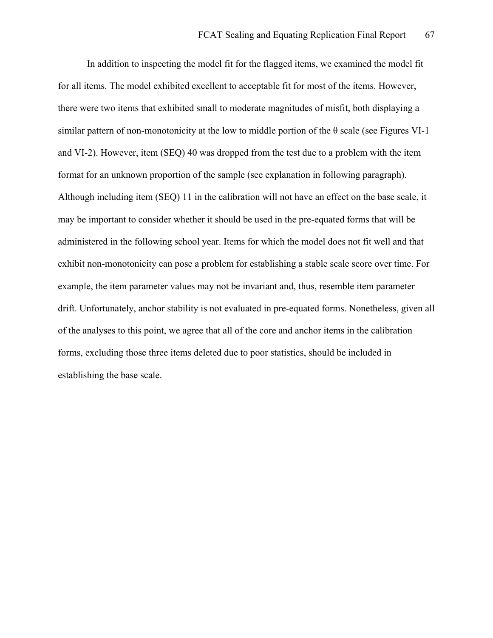In addition to inspecting the model fit for the flagged items, we examined the model fit for all items. The model exhibited excellent to acceptable fit for most of the items. However, there were two items that exhibited small to moderate magnitudes of misfit, both displaying a similar pattern of non-monotonicity at the low to middle portion of the  $\theta$  scale (see Figures VI-1) and VI-2). However, item (SEQ) 40 was dropped from the test due to a problem with the item format for an unknown proportion of the sample (see explanation in following paragraph). Although including item (SEQ) 11 in the calibration will not have an effect on the base scale, it may be important to consider whether it should be used in the pre-equated forms that will be administered in the following school year. Items for which the model does not fit well and that exhibit non-monotonicity can pose a problem for establishing a stable scale score over time. For example, the item parameter values may not be invariant and, thus, resemble item parameter drift. Unfortunately, anchor stability is not evaluated in pre-equated forms. Nonetheless, given all of the analyses to this point, we agree that all of the core and anchor items in the calibration forms, excluding those three items deleted due to poor statistics, should be included in establishing the base scale.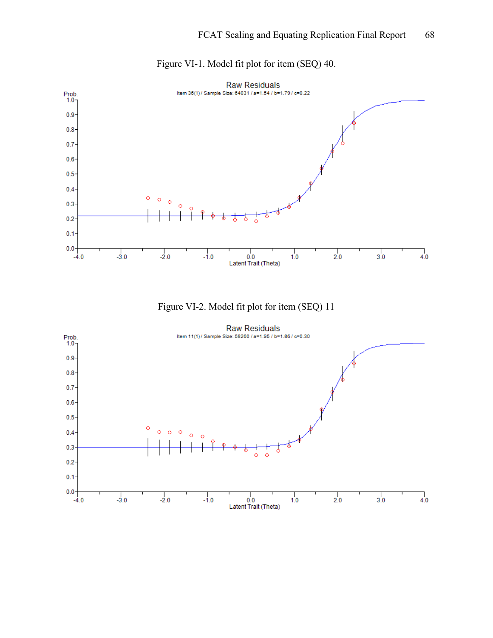

Figure VI-1. Model fit plot for item (SEQ) 40.



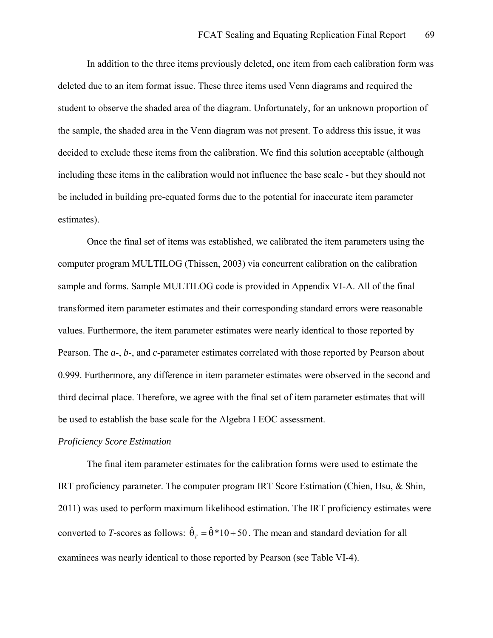In addition to the three items previously deleted, one item from each calibration form was deleted due to an item format issue. These three items used Venn diagrams and required the student to observe the shaded area of the diagram. Unfortunately, for an unknown proportion of the sample, the shaded area in the Venn diagram was not present. To address this issue, it was decided to exclude these items from the calibration. We find this solution acceptable (although including these items in the calibration would not influence the base scale - but they should not be included in building pre-equated forms due to the potential for inaccurate item parameter estimates).

 Once the final set of items was established, we calibrated the item parameters using the computer program MULTILOG (Thissen, 2003) via concurrent calibration on the calibration sample and forms. Sample MULTILOG code is provided in Appendix VI-A. All of the final transformed item parameter estimates and their corresponding standard errors were reasonable values. Furthermore, the item parameter estimates were nearly identical to those reported by Pearson. The *a*-, *b*-, and *c*-parameter estimates correlated with those reported by Pearson about 0.999. Furthermore, any difference in item parameter estimates were observed in the second and third decimal place. Therefore, we agree with the final set of item parameter estimates that will be used to establish the base scale for the Algebra I EOC assessment.

### *Proficiency Score Estimation*

The final item parameter estimates for the calibration forms were used to estimate the IRT proficiency parameter. The computer program IRT Score Estimation (Chien, Hsu, & Shin, 2011) was used to perform maximum likelihood estimation. The IRT proficiency estimates were converted to *T*-scores as follows:  $\hat{\theta}_r = \hat{\theta} * 10 + 50$ . The mean and standard deviation for all examinees was nearly identical to those reported by Pearson (see Table VI-4).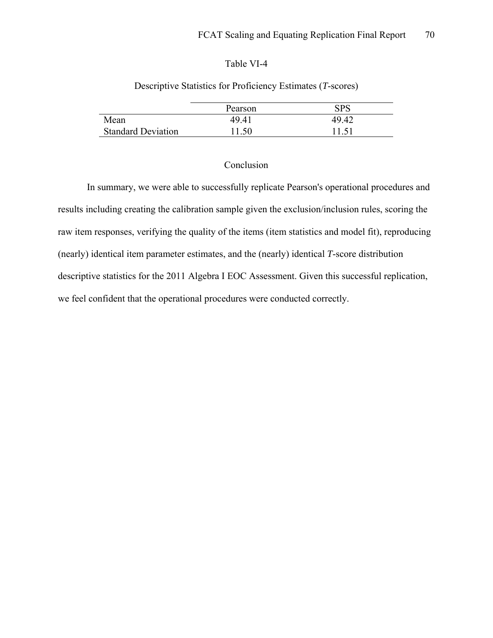## Table VI-4

|                           | Pearson | SPS   |
|---------------------------|---------|-------|
| Mean                      | 49.41   | 49.42 |
| <b>Standard Deviation</b> | 1.50    | 11.51 |

# Descriptive Statistics for Proficiency Estimates (*T*-scores)

## Conclusion

In summary, we were able to successfully replicate Pearson's operational procedures and results including creating the calibration sample given the exclusion/inclusion rules, scoring the raw item responses, verifying the quality of the items (item statistics and model fit), reproducing (nearly) identical item parameter estimates, and the (nearly) identical *T*-score distribution descriptive statistics for the 2011 Algebra I EOC Assessment. Given this successful replication, we feel confident that the operational procedures were conducted correctly.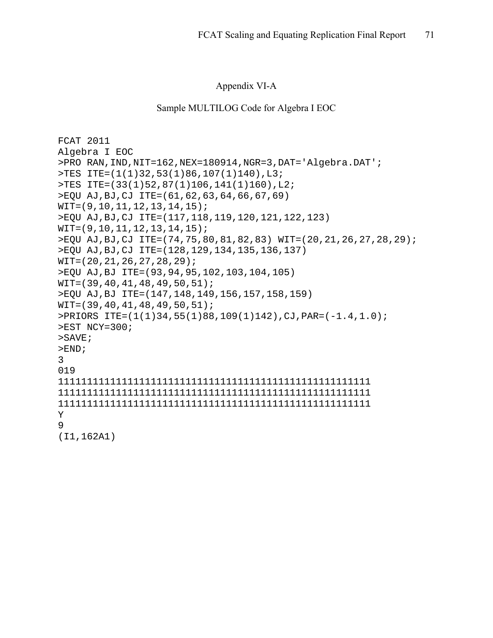## Appendix VI-A

### Sample MULTILOG Code for Algebra I EOC

```
FCAT 2011 
Algebra I EOC 
>PRO RAN,IND,NIT=162,NEX=180914,NGR=3,DAT='Algebra.DAT'; 
>TES ITE=(1(1)32,53(1)86,107(1)140),L3; 
>TES ITE=(33(1)52,87(1)106,141(1)160),L2; 
>EQU AJ,BJ,CJ ITE=(61,62,63,64,66,67,69) 
WIT=(9,10,11,12,13,14,15); 
>EQU AJ,BJ,CJ ITE=(117,118,119,120,121,122,123) 
WIT=(9,10,11,12,13,14,15); 
>EQU AJ,BJ,CJ ITE=(74,75,80,81,82,83) WIT=(20,21,26,27,28,29); 
>EQU AJ,BJ,CJ ITE=(128,129,134,135,136,137) 
WIT=(20,21,26,27,28,29); 
>EQU AJ,BJ ITE=(93,94,95,102,103,104,105) 
WIT=(39,40,41,48,49,50,51); 
>EQU AJ,BJ ITE=(147,148,149,156,157,158,159) 
WIT=(39,40,41,48,49,50,51); 
>PRIORS ITE=(1(1)34,55(1)88,109(1)142),CJ,PAR=(-1.4,1.0); 
>EST NCY=300; 
>SAVE; 
>END;
3 
019 
111111111111111111111111111111111111111111111111111111 
111111111111111111111111111111111111111111111111111111 
111111111111111111111111111111111111111111111111111111 
Y 
9 
(I1,162A1)
```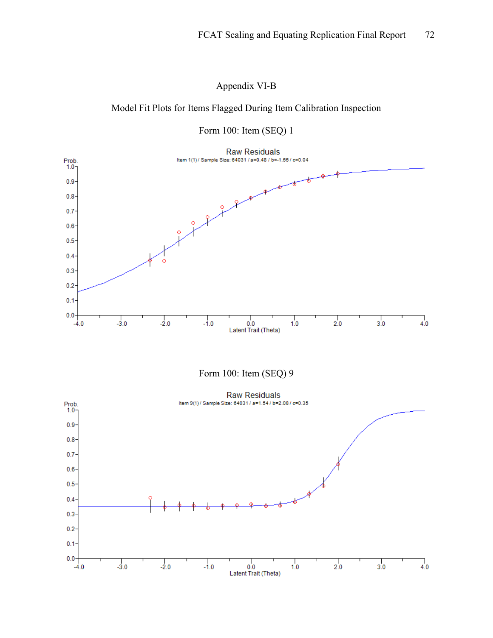Appendix VI-B

# Model Fit Plots for Items Flagged During Item Calibration Inspection



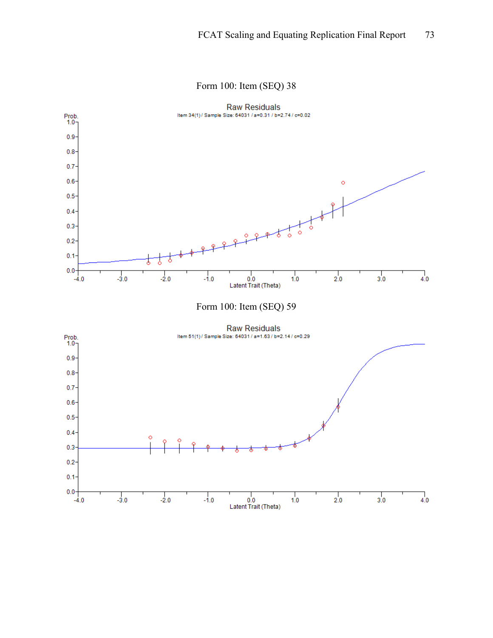#### Form 100: Item (SEQ) 38

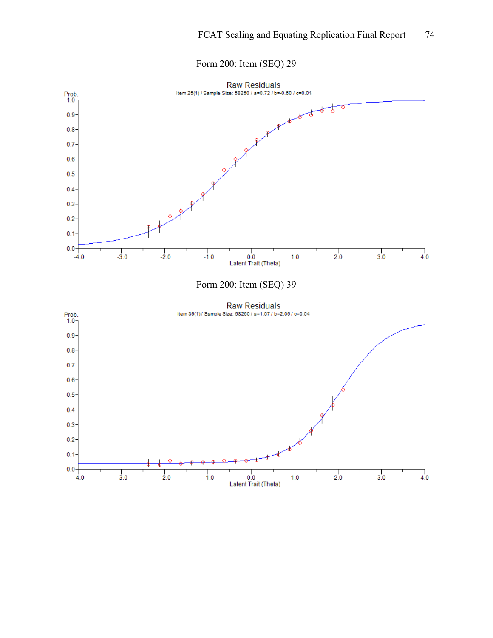## Form 200: Item (SEQ) 29

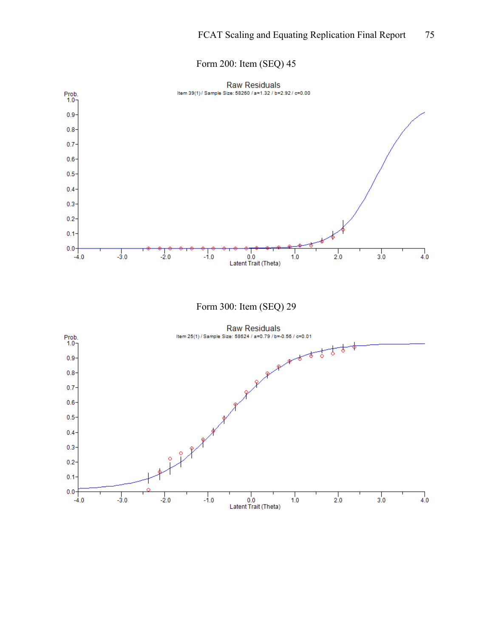## Form 200: Item (SEQ) 45

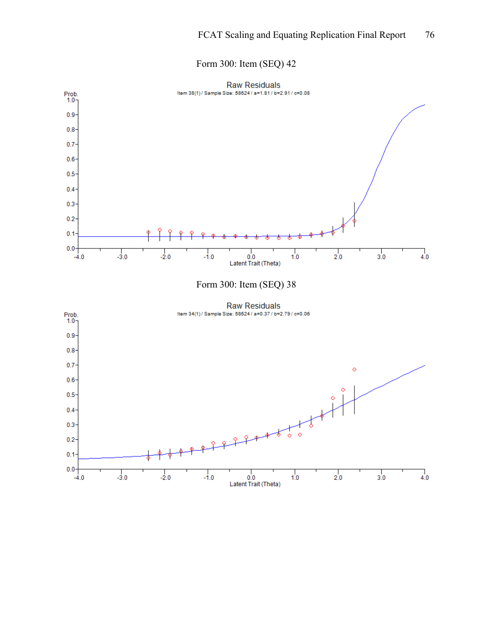## Form 300: Item (SEQ) 42

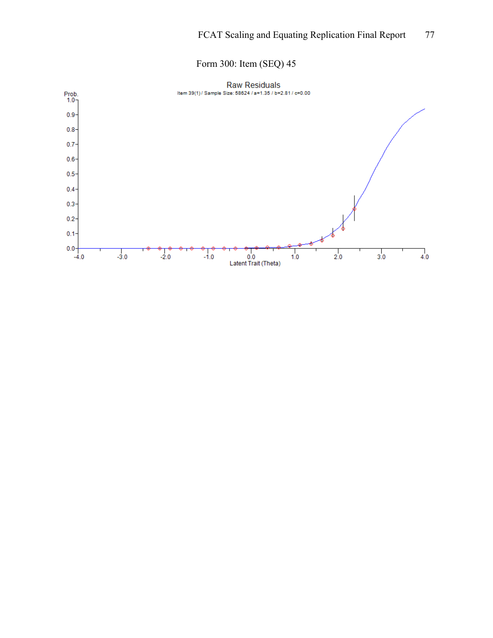# Form 300: Item (SEQ) 45